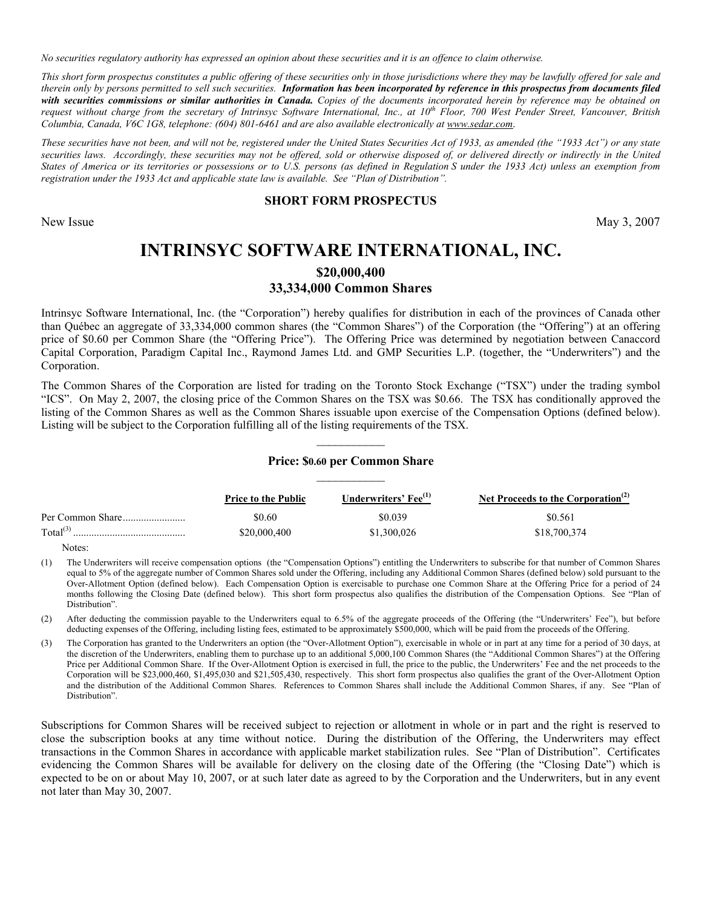*No securities regulatory authority has expressed an opinion about these securities and it is an offence to claim otherwise.* 

This short form prospectus constitutes a public offering of these securities only in those jurisdictions where they may be lawfully offered for sale and therein only by persons permitted to sell such securities. Information has been incorporated by reference in this prospectus from documents filed with securities commissions or similar authorities in Canada. Copies of the documents incorporated herein by reference may be obtained on *request without charge from the secretary of Intrinsyc Software International, Inc., at 10<sup>th</sup> Floor, 700 West Pender Street, Vancouver, British Columbia, Canada, F6C 1J8, telephone: (604) 801-6461 and are also available electronically at www.sedar.com*.

These securities have not been, and will not be, registered under the United States Securities Act of 1933, as amended (the "1933 Act") or any state securities laws. Accordingly, these securities may not be offered, sold or otherwise disposed of, or delivered directly or indirectly in the United *States of America or its territories or possessions or to U.S. persons (as defined in Regulation S under the 1933 Act) unless an exemption from registration under the 1933 Act and applicable state law is available. See "Plan of Distribution"*.

#### **SHORT FORM PROSPECTUS**

New Issue May 3, 2007

# **INTRINSYC SOFTWARE INTERNATIONAL, INC.** \$20,000,400 **33,334,000 Common Shares**

Intrinsyc Software International, Inc. (the "Corporation") hereby qualifies for distribution in each of the provinces of Canada other than Québec an aggregate of 33,334,000 common shares (the "Common Shares") of the Corporation (the "Offering") at an offering price of \$0.60 per Common Share (the "Offering Price"). The Offering Price was determined by negotiation between Canaccord Capital Corporation, Paradigm Capital Inc., Raymond James Ltd. and RMP Securities L.P. (together, the <Underwriters?) and the Corporation.

The Common Shares of the Corporation are listed for trading on the Toronto Stock Exchange ("TSX") under the trading symbol "ICS". On May 2, 2007, the closing price of the Common Shares on the TSX was \$0.66. The TSX has conditionally approved the listing of the Common Shares as well as the Common Shares issuable upon exercise of the Compensation Options (defined below). Listing will be subject to the Corporation fulfilling all of the listing requirements of the TSX.

# YYYYYYYYYYY **Price:** \$0.60 per Common Share

|                      | <b>Price to the Public</b> | Underwriters' Fee <sup>(1)</sup> | Net Proceeds to the Corporation <sup>(2)</sup> |
|----------------------|----------------------------|----------------------------------|------------------------------------------------|
|                      | \$0.60                     | \$0.039                          | \$0.561                                        |
| Total <sup>(3)</sup> | \$20,000,400               | \$1,300,026                      | \$18,700,374                                   |

Notes:

(1) The Underwriters will receive compensation options (the <Compensation Options?) entitling the Underwriters to subscribe for that number of Common Shares equal to 5% of the aggregate number of Common Shares sold under the Offering, including any Additional Common Shares (defined below) sold pursuant to the Over-Allotment Option (defined below). Each Compensation Option is exercisable to purchase one Common Share at the Offering Price for a period of 24 months following the Closing Date (defined below). This short form prospectus also qualifies the distribution of the Compensation Options. See "Plan of Distribution".

(2) After deducting the commission payable to the Underwriters equal to 6.5% of the aggregate proceeds of the Offering (the "Underwriters' Fee"), but before deducting expenses of the Offering, including listing fees, estimated to be approximately \$500,000, which will be paid from the proceeds of the Offering.

(3) The Corporation has granted to the Underwriters an option (the "Over-Allotment Option"), exercisable in whole or in part at any time for a period of 30 days, at the discretion of the Underwriters, enabling them to purchase up to an additional 5,000,100 Common Shares (the "Additional Common Shares") at the Offering Price per Additional Common Share. If the Over-Allotment Option is exercised in full, the price to the public, the Underwriters' Fee and the net proceeds to the Corporation will be \$23,000,460, \$1,495,030 and \$21,505,430, respectively. This short form prospectus also qualifies the grant of the Over-Allotment Option and the distribution of the Additional Common Shares. References to Common Shares shall include the Additional Common Shares, if any. See "Plan of Distribution?.

Subscriptions for Common Shares will be received subject to rejection or allotment in whole or in part and the right is reserved to close the subscription books at any time without notice. During the distribution of the Offering, the Underwriters may effect transactions in the Common Shares in accordance with applicable market stabilization rules. See "Plan of Distribution". Certificates evidencing the Common Shares will be available for delivery on the closing date of the Offering (the "Closing Date") which is expected to be on or about May 10, 2007, or at such later date as agreed to by the Corporation and the Underwriters, but in any event not later than May 30, 2007.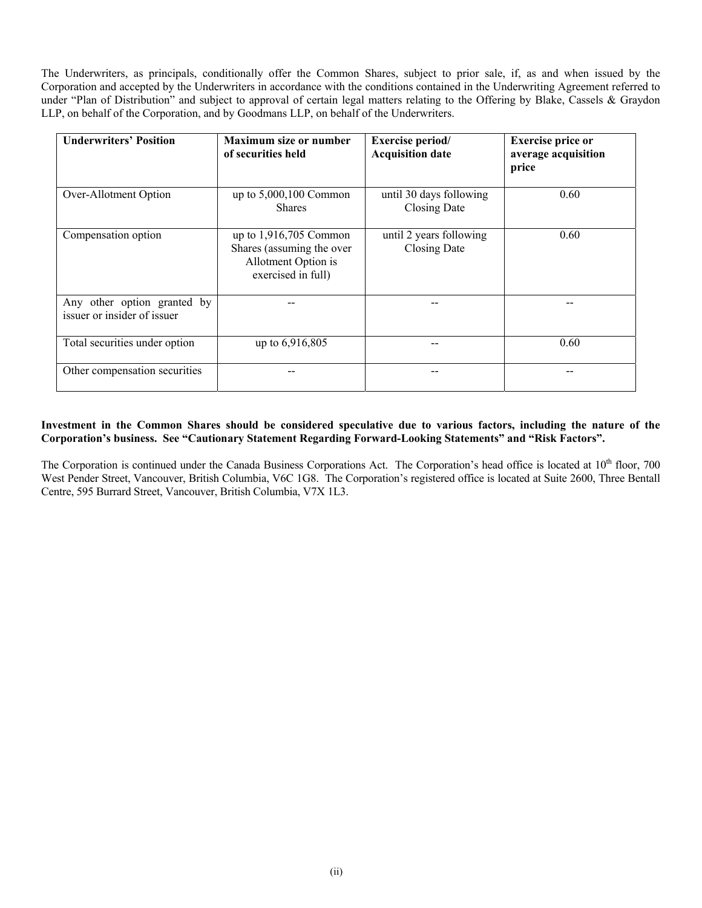The Underwriters, as principals, conditionally offer the Common Shares, subject to prior sale, if, as and when issued by the Corporation and accepted by the Underwriters in accordance with the conditions contained in the Underwriting Agreement referred to under "Plan of Distribution" and subject to approval of certain legal matters relating to the Offering by Blake, Cassels  $\&$  Graydon LLP, on behalf of the Corporation, and by Goodmans LLP, on behalf of the Underwriters.

| <b>Underwriters' Position</b>                              | <b>Maximum size or number</b><br>of securities held                                                | <b>Exercise period/</b><br><b>Acquisition date</b> | <b>Exercise price or</b><br>average acquisition<br>price |
|------------------------------------------------------------|----------------------------------------------------------------------------------------------------|----------------------------------------------------|----------------------------------------------------------|
| Over-Allotment Option                                      | up to $5,000,100$ Common<br><b>Shares</b>                                                          | until 30 days following<br><b>Closing Date</b>     | 0.60                                                     |
| Compensation option                                        | up to $1,916,705$ Common<br>Shares (assuming the over<br>Allotment Option is<br>exercised in full) | until 2 years following<br>Closing Date            | 0.60                                                     |
| Any other option granted by<br>issuer or insider of issuer |                                                                                                    |                                                    |                                                          |
| Total securities under option                              | up to 6,916,805                                                                                    |                                                    | 0.60                                                     |
| Other compensation securities                              |                                                                                                    |                                                    |                                                          |

## Investment in the Common Shares should be considered speculative due to various factors, including the nature of the **Corporation's business. See "Cautionary Statement Regarding Forward-Looking Statements" and "Risk Factors".**

The Corporation is continued under the Canada Business Corporations Act. The Corporation's head office is located at 10<sup>th</sup> floor, 700 West Pender Street, Vancouver, British Columbia, V6C 1G8. The Corporation's registered office is located at Suite 2600, Three Bentall Centre, 595 Burrard Street, Vancouver, British Columbia, V7X 1L3.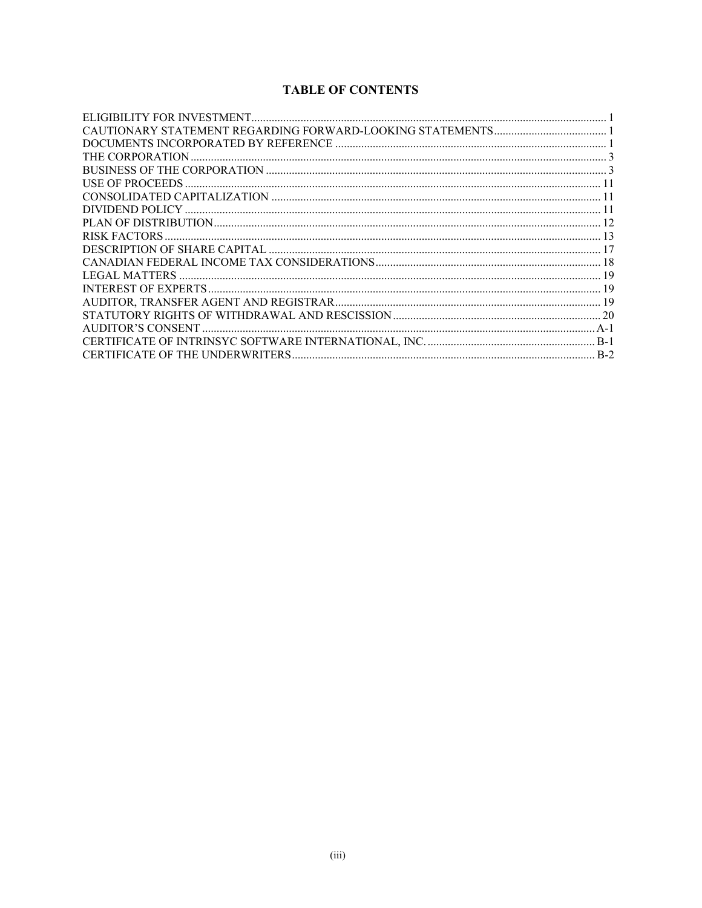## **TABLE OF CONTENTS**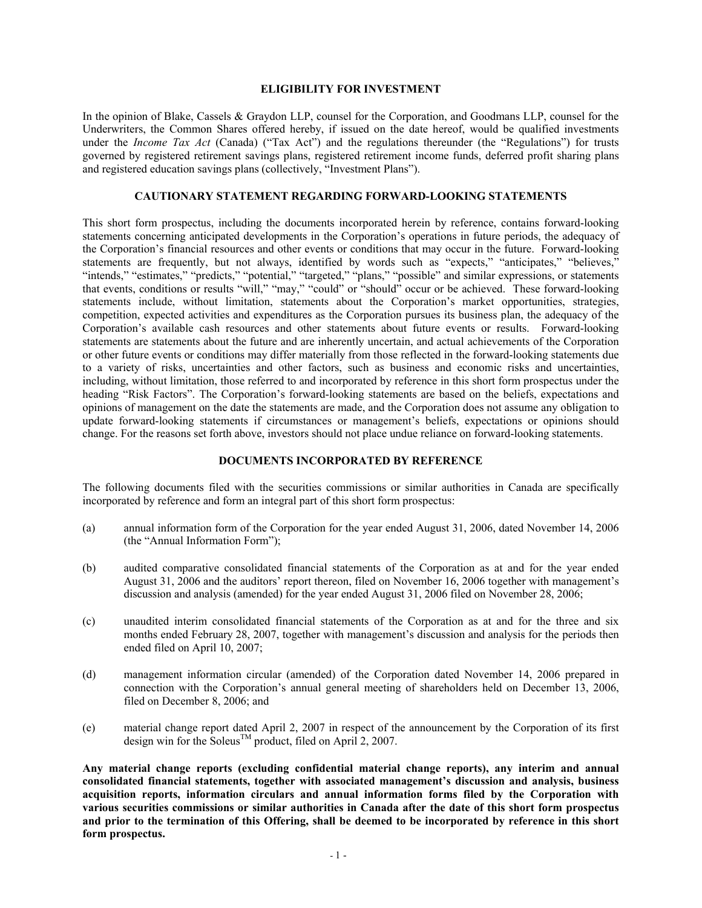#### $^{\circ}$ **ELIGIBILITY FOR INVESTMENT**

In the opinion of Blake, Cassels  $\&$  Graydon LLP, counsel for the Corporation, and Goodmans LLP, counsel for the Underwriters, the Common Shares offered hereby, if issued on the date hereof, would be qualified investments under the *Income Tax Act* (Canada) ("Tax Act") and the regulations thereunder (the "Regulations") for trusts governed by registered retirement savings plans, registered retirement income funds, deferred profit sharing plans and registered education savings plans (collectively, "Investment Plans").

## $\overline{C}$ AUTIONARY STATEMENT REGARDING FORWARD-LOOKING STATEMENTS

This short form prospectus, including the documents incorporated herein by reference, contains forward-looking statements concerning anticipated developments in the Corporation's operations in future periods, the adequacy of the Corporation's financial resources and other events or conditions that may occur in the future. Forward-looking statements are frequently, but not always, identified by words such as "expects," "anticipates," "believes," "intends," "estimates," "predicts," "potential," "targeted," "plans," "possible" and similar expressions, or statements that events, conditions or results "will," "may," "could" or "should" occur or be achieved. These forward-looking statements include, without limitation, statements about the Corporation's market opportunities, strategies, competition, expected activities and expenditures as the Corporation pursues its business plan, the adequacy of the Corporation's available cash resources and other statements about future events or results. Forward-looking statements are statements about the future and are inherently uncertain, and actual achievements of the Corporation or other future events or conditions may differ materially from those reflected in the forward-looking statements due to a variety of risks, uncertainties and other factors, such as business and economic risks and uncertainties, including, without limitation, those referred to and incorporated by reference in this short form prospectus under the heading "Risk Factors". The Corporation's forward-looking statements are based on the beliefs, expectations and opinions of management on the date the statements are made, and the Corporation does not assume any obligation to update forward-looking statements if circumstances or management's beliefs, expectations or opinions should change. For the reasons set forth above, investors should not place undue reliance on forward-looking statements.

#### **DOCUMENTS INCORPORATED BY REFERENCE**

The following documents filed with the securities commissions or similar authorities in Canada are specifically incorporated by reference and form an integral part of this short form prospectus:

- (a) annual information form of the Corporation for the year ended August 31, 2006, dated November 14, 2006 (the "Annual Information Form");
- (b) audited comparative consolidated financial statements of the Corporation as at and for the year ended August 31, 2006 and the auditors' report thereon, filed on November 16, 2006 together with management's discussion and analysis (amended) for the year ended August 31, 2006 filed on November 28, 2006;
- (c) unaudited interim consolidated financial statements of the Corporation as at and for the three and six months ended February 28, 2007, together with management's discussion and analysis for the periods then ended filed on April 10, 2007;
- (d) management information circular (amended) of the Corporation dated November 14, 2006 prepared in connection with the Corporation's annual general meeting of shareholders held on December 13, 2006, filed on December 8, 2006; and
- (e) material change report dated April 2, 2007 in respect of the announcement by the Corporation of its first design win for the Soleus TM product, filed on April 2, 2007.

**1nY ;ateriaJ change reFortA NeQcJHKing conSiKentiaJ ;ateriaJ change reFortAP3 anY interi; anK annHaJ consolidated financial statements, together with associated management's discussion and analysis, business** acquisition reports, information circulars and annual information forms filed by the Corporation with **Various securities commissions or similar authorities in Canada after the date of this short form prospectus and prior to the termination of this Offering, shall be deemed to be incorporated by reference in this short** form prospectus.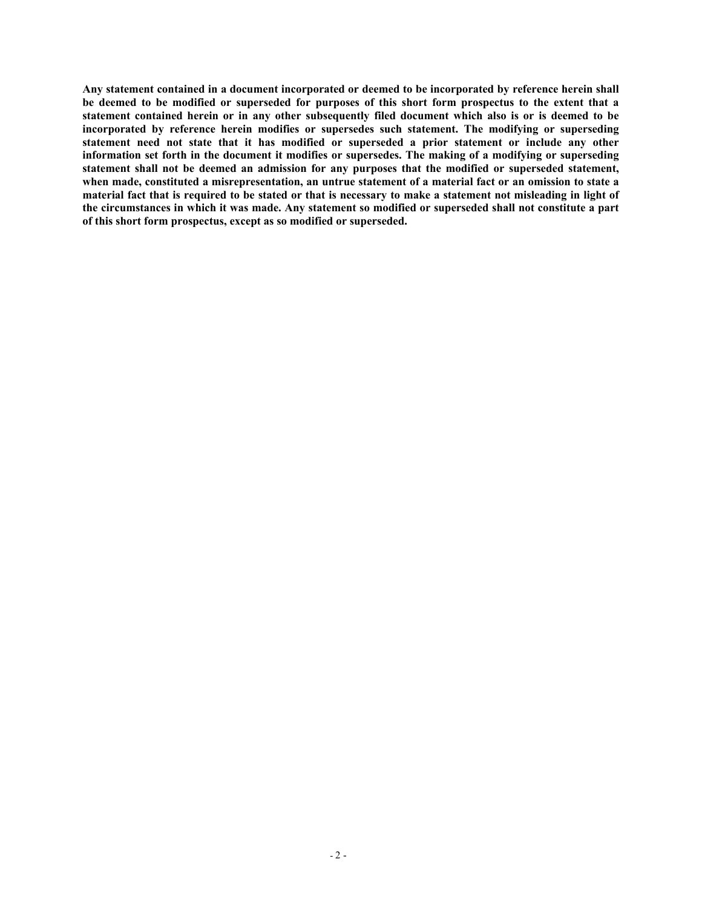Any statement contained in a document incorporated or deemed to be incorporated by reference herein shall **IE Reference d to be** modified or superseded for purposes of this short form prospectus to the extent that a statement contained herein or in any other subsequently filed document which also is or is deemed to be incorporated by reference herein modifies or supersedes such statement. The modifying or superseding statement need not state that it has modified or superseded a prior statement or include any other **information** set forth in the document it modifies or supersedes. The making of a modifying or superseding **Atatement shall not be deemed an admission for any purposes that the modified or superseded statement,** when made, constituted a misrepresentation, an untrue statement of a material fact or an omission to state a  $i$  material fact that is required to be stated or that is necessary to make a statement not misleading in light of  $t$ he circumstances in which it was made. Any statement so modified or superseded shall not constitute a part of this short form prospectus, except as so modified or superseded.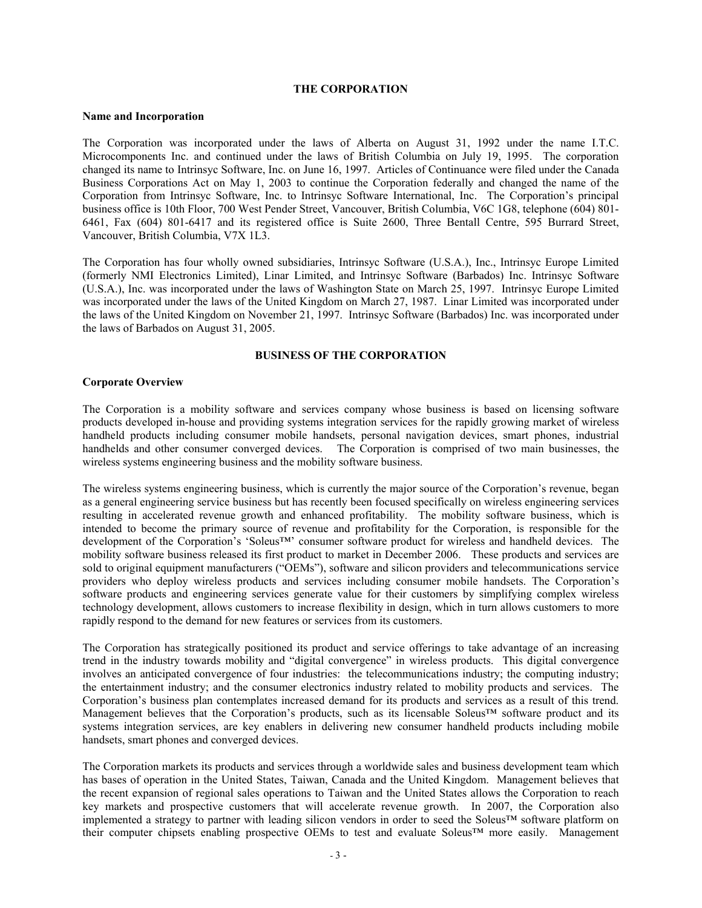## **THE CORPORATION**

#### **Name and Incorporation**

The Corporation was incorporated under the laws of Alberta on August 31, 1992 under the name I.T.C. Microcomponents Inc. and continued under the laws of fritish Columbia on July 19, 1995. The corporation changed its name to Intrinsyc Software, Inc. on June 16, 1997. Articles of Continuance were filed under the Canada Business Corporations Act on May 1, 2003 to continue the Corporation federally and changed the name of the Corporation from Intrinsyc Software, Inc. to Intrinsyc Software International, Inc. The Corporation's principal business office is 10th Floor, 700 West Pender Street, Vancouver, British Columbia, V6C 1G8, telephone (604) 801-6461, FaV (604) 801-6417 and its registered office is Suite 2600, Three fentall Centre, 595 furrard Street, Vancouver, British Columbia, V7X 1L3.

The Corporation has four wholly owned subsidiaries, Intrinsyc Software (U.S.A.), Inc., Intrinsyc Europe Limited (formerly NMI Electronics Limited), Linar Limited, and Intrinsyc Software (farbados) Inc. Intrinsyc Software (U.S.A.), Inc. was incorporated under the laws of Washington State on March 25, 1997. Intrinsyc Europe Limited was incorporated under the laws of the United kingdom on March 27, 1987. Linar Limited was incorporated under the laws of the United kingdom on November 21, 1997. Intrinsyc Software (farbados) Inc. was incorporated under the laws of Barbados on August 31, 2005.

## **BUSINESS OF THE CORPORATION**

#### **Corporate Overview**

The Corporation is a mobility software and services company whose business is based on licensing software products developed in-house and providing systems integration services for the rapidly growing market of wireless handheld products including consumer mobile handsets, personal navigation devices, smart phones, industrial handhelds and other consumer converged devices. The Corporation is comprised of two main businesses, the wireless systems engineering business and the mobility software business.

The wireless systems engineering business, which is currently the major source of the Corporation's revenue, began as a general engineering service business but has recently been focused specifically on wireless engineering services resulting in accelerated revenue growth and enhanced profitability. The mobility software business, which is intended to become the primary source of revenue and profitability for the Corporation, is responsible for the development of the Corporation's 'Soleus<sup>TM</sup>' consumer software product for wireless and handheld devices. The mobility software business released its first product to market in December 2006. These products and services are sold to original equipment manufacturers ("OEMs"), software and silicon providers and telecommunications service providers who deploy wireless products and services including consumer mobile handsets. The Corporation's software products and engineering services generate value for their customers by simplifying complex wireless technology development, allows customers to increase flexibility in design, which in turn allows customers to more rapidly respond to the demand for new features or services from its customers.

The Corporation has strategically positioned its product and service offerings to take advantage of an increasing trend in the industry towards mobility and "digital convergence" in wireless products. This digital convergence involves an anticipated convergence of four industries: the telecommunications industry; the computing industry; the entertainment industry; and the consumer electronics industry related to mobility products and services. The Corporation's business plan contemplates increased demand for its products and services as a result of this trend. Management believes that the Corporation's products, such as its licensable Soleus<sup>TM</sup> software product and its systems integration services, are key enablers in delivering new consumer handheld products including mobile handsets, smart phones and converged devices.

The Corporation markets its products and services through a worldwide sales and business development team which has bases of operation in the United States, Taiwan, Canada and the United kingdom. Management believes that the recent expansion of regional sales operations to Taiwan and the United States allows the Corporation to reach key markets and prospective customers that will accelerate revenue growth. In 2007, the Corporation also implemented a strategy to partner with leading silicon vendors in order to seed the Soleus<sup>TM</sup> software platform on their computer chipsets enabling prospective OEMs to test and evaluate Soleus<sup>TM</sup> more easily. Management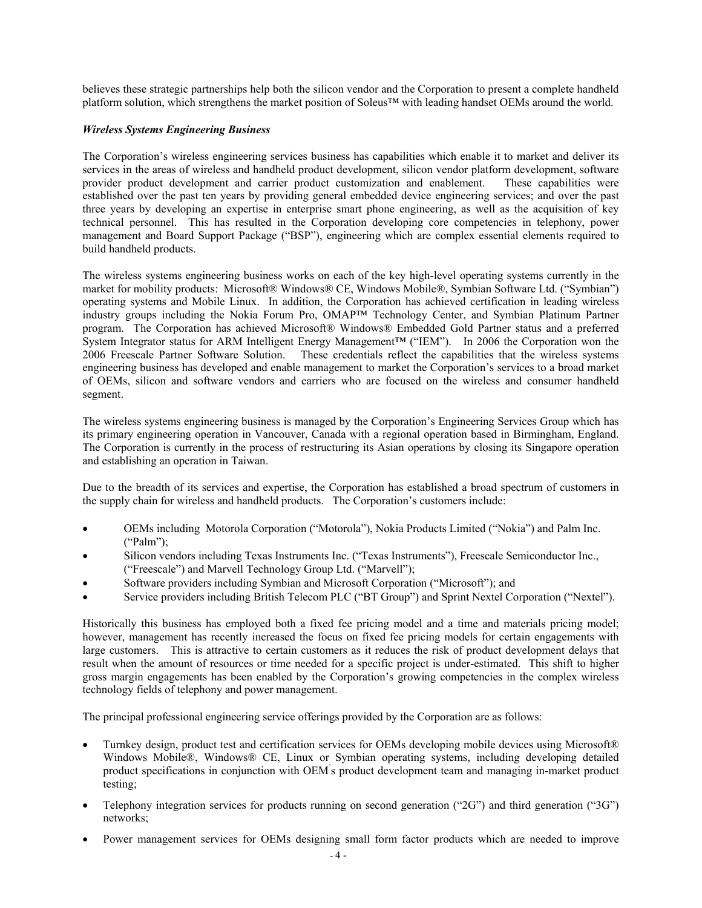believes these strategic partnerships help both the silicon vendor and the Corporation to present a complete handheld platform solution, which strengthens the market position of Soleus<sup>TM</sup> with leading handset OEMs around the world.

## *Wireless Systems Engineering Business*

The Corporation's wireless engineering services business has capabilities which enable it to market and deliver its services in the areas of wireless and handheld product development, silicon vendor platform development, software provider product development and carrier product customization and enablement. These capabilities were established over the past ten years by providing general embedded device engineering services; and over the past three years by developing an expertise in enterprise smart phone engineering, as well as the acquisition of key technical personnel. This has resulted in the Corporation developing core competencies in telephony, power management and Board Support Package ("BSP"), engineering which are complex essential elements required to build handheld products.

The wireless systems engineering business works on each of the key high-level operating systems currently in the market for mobility products: Microsoft® Windows® CE, Windows Mobile®, Symbian Software Ltd. ("Symbian") operating systems and Mobile Linux. In addition, the Corporation has achieved certification in leading wireless industry groups including the Nokia Forum Pro, OMAPTM Technology Center, and Symbian Platinum Partner program. The Corporation has achieved Microsoft® Windows® Embedded Gold Partner status and a preferred System Integrator status for ARM Intelligent Energy Management<sup>TM</sup> ("IEM"). In 2006 the Corporation won the 2006 Freescale Partner Software Solution. These credentials reflect the capabilities that the wireless systems engineering business has developed and enable management to market the Corporation's services to a broad market of OEMs, silicon and software vendors and carriers who are focused on the wireless and consumer handheld segment.

The wireless systems engineering business is managed by the Corporation's Engineering Services Group which has its primary engineering operation in Vancouver, Canada with a regional operation based in Birmingham, England. The Corporation is currently in the process of restructuring its Asian operations by closing its Singapore operation and establishing an operation in Taiwan.

Due to the breadth of its services and expertise, the Corporation has established a broad spectrum of customers in the supply chain for wireless and handheld products. The Corporation's customers include:

- OEMs including Motorola Corporation ("Motorola"), Nokia Products Limited ("Nokia") and Palm Inc.  $("Palm")$ ;
- Silicon vendors including Texas Instruments Inc. ("Texas Instruments"), Freescale Semiconductor Inc., ("Freescale") and Marvell Technology Group Ltd. ("Marvell");
- Software providers including Symbian and Microsoft Corporation ("Microsoft"); and
- Service providers including British Telecom PLC ("BT Group") and Sprint Nextel Corporation ("Nextel").

Historically this business has employed both a fixed fee pricing model and a time and materials pricing model; however, management has recently increased the focus on fixed fee pricing models for certain engagements with large customers. This is attractive to certain customers as it reduces the risk of product development delays that result when the amount of resources or time needed for a specific project is under-estimated. This shift to higher gross margin engagements has been enabled by the Corporation's growing competencies in the complex wireless technology fields of telephony and power management.

The principal professional engineering service offerings provided by the Corporation are as follows:

- Turnkey design, product test and certification services for OEMs developing mobile devices using Microsoft® Windows Mobile®, Windows® CE, Linux or Symbian operating systems, including developing detailed product specifications in conjunction with OEM's product development team and managing in-market product testing:
- Telephony integration services for products running on second generation ("2G") and third generation ("3G") networks:
- ! Power management services for OEMs designing small form factor products which are needed to improve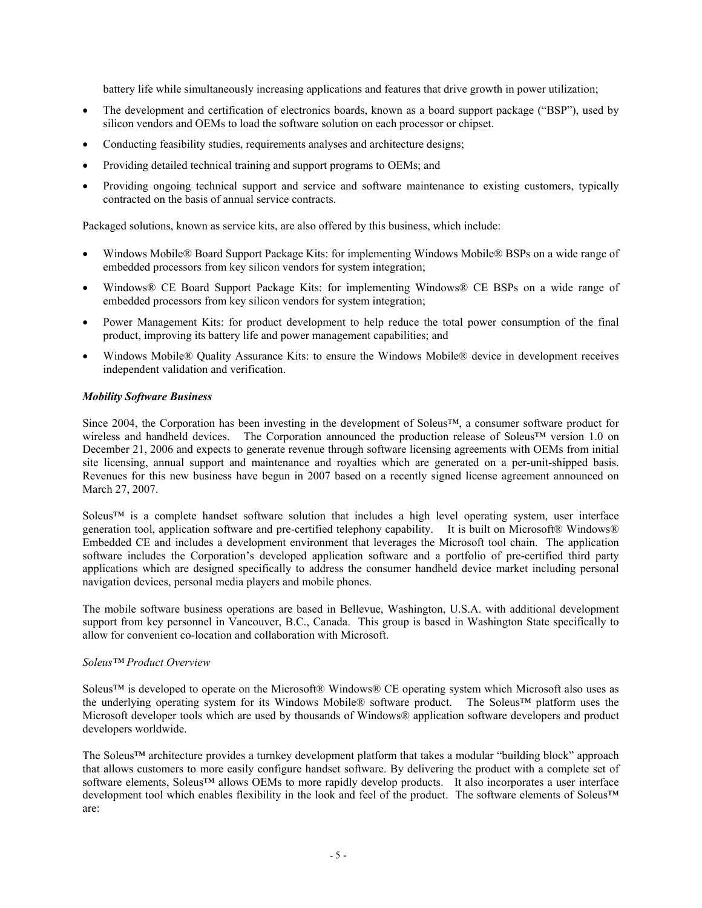battery life while simultaneously increasing applications and features that drive growth in power utilization;

- The development and certification of electronics boards, known as a board support package ("BSP"), used by silicon vendors and OEMs to load the software solution on each processor or chipset.
- Conducting feasibility studies, requirements analyses and architecture designs;
- Providing detailed technical training and support programs to OEMs; and
- Providing ongoing technical support and service and software maintenance to existing customers, typically contracted on the basis of annual service contracts.

Packaged solutions, known as service kits, are also offered by this business, which include:

- Windows Mobile® Board Support Package Kits: for implementing Windows Mobile® BSPs on a wide range of embedded processors from key silicon vendors for system integration;
- Windows® CE Board Support Package Kits: for implementing Windows® CE BSPs on a wide range of embedded processors from key silicon vendors for system integration;
- ! Power Management kits: for product development to help reduce the total power consumption of the final product, improving its battery life and power management capabilities; and
- Windows Mobile® Quality Assurance Kits: to ensure the Windows Mobile® device in development receives independent validation and verification.

#### *Mobility Software Business*

Since 2004, the Corporation has been investing in the development of Soleus<sup>TM</sup>, a consumer software product for wireless and handheld devices. The Corporation announced the production release of Soleus<sup>TM</sup> version 1.0 on December 21, 2006 and expects to generate revenue through software licensing agreements with OEMs from initial site licensing, annual support and maintenance and royalties which are generated on a per-unit-shipped basis. Revenues for this new business have begun in 2007 based on a recently signed license agreement announced on March 27, 2007.

Soleus<sup>TM</sup> is a complete handset software solution that includes a high level operating system, user interface generation tool, application software and pre-certified telephony capability. It is built on Microsoft $\mathbb Q$  Windows $\mathbb Q$ Embedded CE and includes a development environment that leverages the Microsoft tool chain. The application software includes the Corporation's developed application software and a portfolio of pre-certified third party applications which are designed specifically to address the consumer handheld device market including personal navigation devices, personal media players and mobile phones.

The mobile software business operations are based in Bellevue, Washington, U.S.A. with additional development support from key personnel in Vancouver, B.C., Canada. This group is based in Washington State specifically to allow for convenient co-location and collaboration with Microsoft.

#### *SoleusY Product Overview*

Soleus<sup>TM</sup> is developed to operate on the Microsoft® Windows® CE operating system which Microsoft also uses as the underlying operating system for its Windows Mobile® software product. The Soleus<sup>TM</sup> platform uses the Microsoft developer tools which are used by thousands of Windows® application software developers and product developers worldwide.

The Soleus<sup>TM</sup> architecture provides a turnkey development platform that takes a modular "building block" approach that allows customers to more easily configure handset software. fy delivering the product with a complete set of software elements, Soleus™ allows OEMs to more rapidly develop products. It also incorporates a user interface development tool which enables flexibility in the look and feel of the product. The software elements of Soleus<sup>TM</sup> are: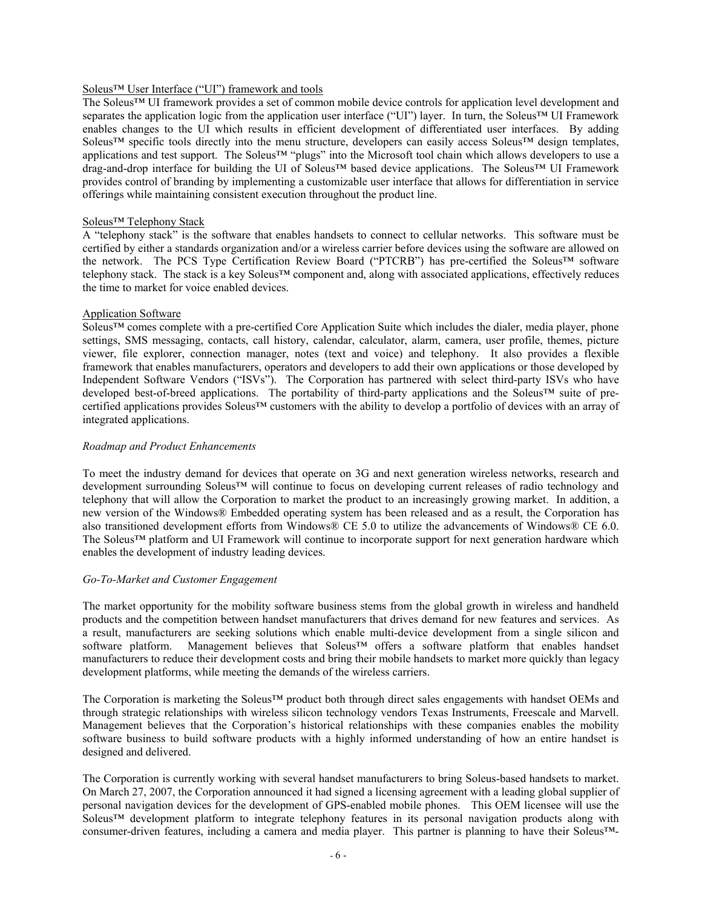## Soleus<sup>TM</sup> User Interface ("UI") framework and tools

The Soleus<sup>TM</sup> UI framework provides a set of common mobile device controls for application level development and separates the application logic from the application user interface ("UI") layer. In turn, the Soleus<sup>TM</sup> UI Framework enables changes to the UI which results in efficient development of differentiated user interfaces. fy adding Soleus<sup>TM</sup> specific tools directly into the menu structure, developers can easily access Soleus<sup>TM</sup> design templates, applications and test support. The Soleus<sup>TM</sup> "plugs" into the Microsoft tool chain which allows developers to use a drag-and-drop interface for building the UI of Soleus™ based device applications. The Soleus™ UI Framework provides control of branding by implementing a customizable user interface that allows for differentiation in service offerings while maintaining consistent execution throughout the product line.

## Soleus<sup>™</sup> Telephony Stack

A "telephony stack" is the software that enables handsets to connect to cellular networks. This software must be certified by either a standards organization and/or a wireless carrier before devices using the software are allowed on the network. The PCS Type Certification Review Board ("PTCRB") has pre-certified the Soleus<sup>TM</sup> software telephony stack. The stack is a key Soleus<sup>TM</sup> component and, along with associated applications, effectively reduces the time to market for voice enabled devices.

## Application Software

Soleus<sup>™</sup> comes complete with a pre-certified Core Application Suite which includes the dialer, media player, phone settings, SMS messaging, contacts, call history, calendar, calculator, alarm, camera, user profile, themes, picture viewer, file explorer, connection manager, notes (text and voice) and telephony. It also provides a flexible framework that enables manufacturers, operators and developers to add their own applications or those developed by Independent Software Vendors ("ISVs"). The Corporation has partnered with select third-party ISVs who have developed best-of-breed applications. The portability of third-party applications and the Soleus<sup>TM</sup> suite of precertified applications provides Soleus<sup>TM</sup> customers with the ability to develop a portfolio of devices with an array of integrated applications.

#### *Roadmap and Product Enhancements*

To meet the industry demand for devices that operate on 3G and next generation wireless networks, research and development surrounding Soleus<sup>TM</sup> will continue to focus on developing current releases of radio technology and telephony that will allow the Corporation to market the product to an increasingly growing market. In addition, a new version of the Windows® Embedded operating system has been released and as a result, the Corporation has also transitioned development efforts from Windows® CE 5.0 to utilize the advancements of Windows® CE 6.0. The Soleus<sup>TM</sup> platform and UI Framework will continue to incorporate support for next generation hardware which enables the development of industry leading devices.

#### $Go$ -To-Market and Customer Engagement

The market opportunity for the mobility software business stems from the global growth in wireless and handheld products and the competition between handset manufacturers that drives demand for new features and services. As a result, manufacturers are seeking solutions which enable multi-device development from a single silicon and software platform. Management believes that Soleus<sup>TM</sup> offers a software platform that enables handset manufacturers to reduce their development costs and bring their mobile handsets to market more quickly than legacy development platforms, while meeting the demands of the wireless carriers.

The Corporation is marketing the Soleus<sup>TM</sup> product both through direct sales engagements with handset OEMs and through strategic relationships with wireless silicon technology vendors Texas Instruments, Freescale and Marvell. Management believes that the Corporation's historical relationships with these companies enables the mobility software business to build software products with a highly informed understanding of how an entire handset is designed and delivered.

The Corporation is currently working with several handset manufacturers to bring Soleus-based handsets to market. On March 27, 2007, the Corporation announced it had signed a licensing agreement with a leading global supplier of personal navigation devices for the development of GPS-enabled mobile phones. This OEM licensee will use the Soleus<sup>TM</sup> development platform to integrate telephony features in its personal navigation products along with consumer-driven features, including a camera and media player. This partner is planning to have their Soleus<sup>TM</sup>-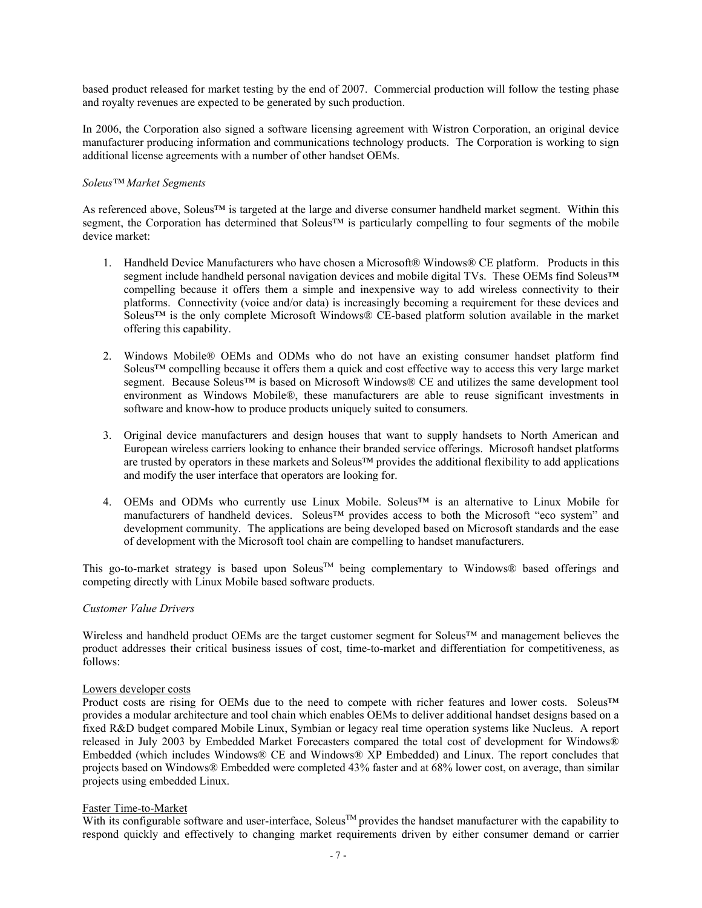based product released for market testing by the end of 2007. Commercial production will follow the testing phase and royalty revenues are expected to be generated by such production.

In 2006, the Corporation also signed a software licensing agreement with Wistron Corporation, an original device manufacturer producing information and communications technology products. The Corporation is working to sign additional license agreements with a number of other handset OEMs.

## $Soleus<sup>TM</sup> Market Segments$

As referenced above, Soleus<sup>TM</sup> is targeted at the large and diverse consumer handheld market segment. Within this segment, the Corporation has determined that Soleus<sup>TM</sup> is particularly compelling to four segments of the mobile device market:

- 1. Handheld Device Manufacturers who have chosen a Microsoft® Windows® CE platform. Products in this segment include handheld personal navigation devices and mobile digital TVs. These OEMs find Soleus<sup>TM</sup> compelling because it offers them a simple and inexpensive way to add wireless connectivity to their platforms. Connectivity (voice and/or data) is increasingly becoming a requirement for these devices and Soleus<sup>TM</sup> is the only complete Microsoft Windows® CE-based platform solution available in the market offering this capability.
- 2. Windows Mobile® OEMs and ODMs who do not have an existing consumer handset platform find Soleus<sup>TM</sup> compelling because it offers them a quick and cost effective way to access this very large market segment. Because Soleus<sup>TM</sup> is based on Microsoft Windows $\mathbb{R}$  CE and utilizes the same development tool environment as Windows Mobile®, these manufacturers are able to reuse significant investments in software and know-how to produce products uniquely suited to consumers.
- 3. Original device manufacturers and design houses that want to supply handsets to North American and European wireless carriers looking to enhance their branded service offerings. Microsoft handset platforms are trusted by operators in these markets and Soleus<sup> $TM$ </sup> provides the additional flexibility to add applications and modify the user interface that operators are looking for.
- 4. OEMs and ODMs who currently use Linux Mobile. Soleus<sup>TM</sup> is an alternative to Linux Mobile for manufacturers of handheld devices. Soleus™ provides access to both the Microsoft "eco system" and development community. The applications are being developed based on Microsoft standards and the ease of development with the Microsoft tool chain are compelling to handset manufacturers.

This go-to-market strategy is based upon Soleus<sup>TM</sup> being complementary to Windows® based offerings and competing directly with Linux Mobile based software products.

#### *Customer Falue Drivers*

Wireless and handheld product OEMs are the target customer segment for Soleus<sup>TM</sup> and management believes the product addresses their critical business issues of cost, time-to-market and differentiation for competitiveness, as follows:

#### Lowers developer costs

Product costs are rising for OEMs due to the need to compete with richer features and lower costs. Soleus<sup>TM</sup> provides a modular architecture and tool chain which enables OEMs to deliver additional handset designs based on a fixed R&D budget compared Mobile Linux, Symbian or legacy real time operation systems like Nucleus. A report released in July 2003 by Embedded Market Forecasters compared the total cost of development for Windows® Embedded (which includes Windows® CE and Windows® XP Embedded) and Linux. The report concludes that projects based on Windows® Embedded were completed 43% faster and at 68% lower cost, on average, than similar projects using embedded Linux.

## Faster Time-to-Market

With its configurable software and user-interface, Soleus<sup>TM</sup> provides the handset manufacturer with the capability to respond quickly and effectively to changing market requirements driven by either consumer demand or carrier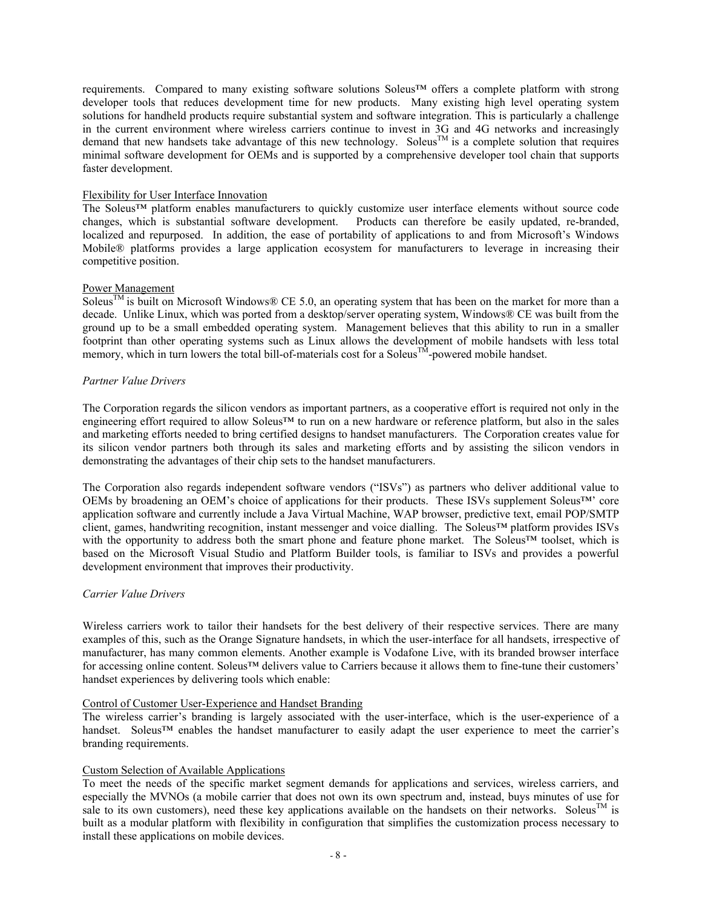requirements. Compared to many existing software solutions Soleus™ offers a complete platform with strong developer tools that reduces development time for new products. Many existing high level operating system solutions for handheld products require substantial system and software integration. This is particularly a challenge in the current environment where wireless carriers continue to invest in 3G and 4G networks and increasingly demand that new handsets take advantage of this new technology. Soleus<sup>TM</sup> is a complete solution that requires minimal software development for OEMs and is supported by a comprehensive developer tool chain that supports faster development.

## Flexibility for User Interface Innovation

The Soleus<sup>TM</sup> platform enables manufacturers to quickly customize user interface elements without source code changes, which is substantial software development. Products can therefore be easily updated, re-branded, localized and repurposed. In addition, the ease of portability of applications to and from Microsoft's Windows Mobileq platforms provides a large application ecosystem for manufacturers to leverage in increasing their competitive position.

#### Power Management

Soleus<sup>TM</sup> is built on Microsoft Windows® CE 5.0, an operating system that has been on the market for more than a decade. Unlike Linux, which was ported from a desktop/server operating system, Windows® CE was built from the ground up to be a small embedded operating system. Management believes that this ability to run in a smaller footprint than other operating systems such as Linux allows the development of mobile handsets with less total memory, which in turn lowers the total bill-of-materials cost for a Soleus<sup>TM</sup>-powered mobile handset.

## *Partner Falue Drivers*

The Corporation regards the silicon vendors as important partners, as a cooperative effort is required not only in the engineering effort required to allow Soleus<sup>TM</sup> to run on a new hardware or reference platform, but also in the sales and marketing efforts needed to bring certified designs to handset manufacturers. The Corporation creates value for its silicon vendor partners both through its sales and marketing efforts and by assisting the silicon vendors in demonstrating the advantages of their chip sets to the handset manufacturers.

The Corporation also regards independent software vendors ("ISVs") as partners who deliver additional value to OEMs by broadening an OEM's choice of applications for their products. These ISVs supplement Soleus<sup>TM</sup>' core application software and currently include a Java Virtual Machine, WAP browser, predictive text, email POP/SMTP client, games, handwriting recognition, instant messenger and voice dialling. The Soleus<sup>TM</sup> platform provides ISVs with the opportunity to address both the smart phone and feature phone market. The Soleus<sup>TM</sup> toolset, which is based on the Microsoft Visual Studio and Platform Builder tools, is familiar to ISVs and provides a powerful development environment that improves their productivity.

#### *Carrier Falue Drivers*

Wireless carriers work to tailor their handsets for the best delivery of their respective services. There are many examples of this, such as the Orange Signature handsets, in which the user-interface for all handsets, irrespective of manufacturer, has many common elements. Another example is Vodafone Live, with its branded browser interface for accessing online content. Soleus<sup> $TM$ </sup> delivers value to Carriers because it allows them to fine-tune their customers' handset experiences by delivering tools which enable:

#### Control of Customer User-Experience and Handset Branding

The wireless carrier's branding is largely associated with the user-interface, which is the user-experience of a handset. Soleus<sup>TM</sup> enables the handset manufacturer to easily adapt the user experience to meet the carrier's branding requirements.

## Custom Selection of Available Applications

To meet the needs of the specific market segment demands for applications and services, wireless carriers, and especially the MVNOs (a mobile carrier that does not own its own spectrum and, instead, buys minutes of use for sale to its own customers), need these key applications available on the handsets on their networks. Soleus<sup>TM</sup> is built as a modular platform with flexibility in configuration that simplifies the customization process necessary to install these applications on mobile devices.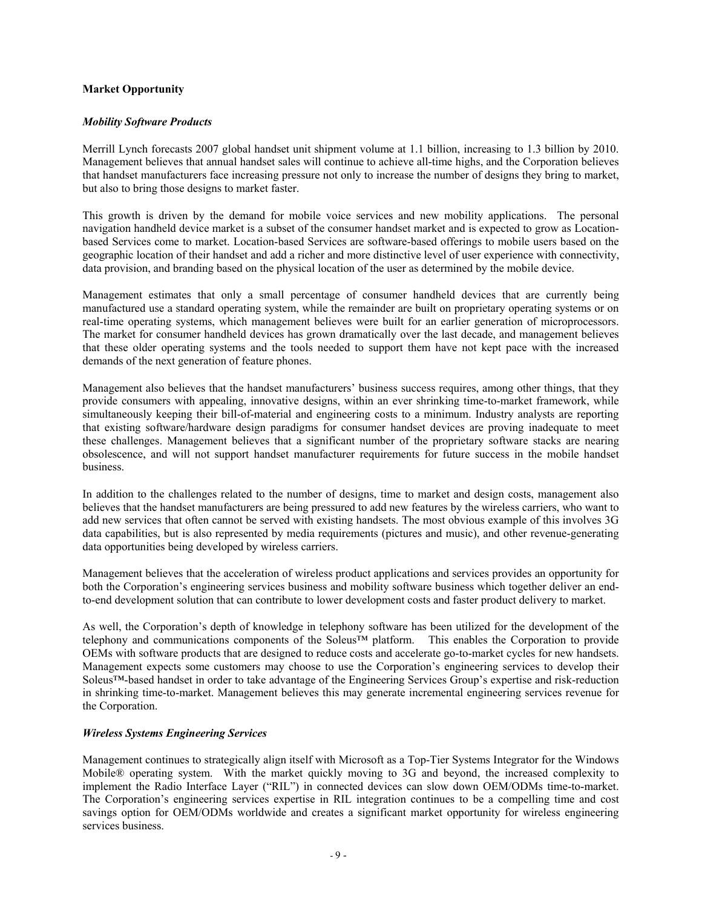## **Market Opportunity**

#### *Mobility Software Products*

Merrill Lynch forecasts 2007 global handset unit shipment volume at 1.1 billion, increasing to 1.3 billion by 2010. Management believes that annual handset sales will continue to achieve all-time highs, and the Corporation believes that handset manufacturers face increasing pressure not only to increase the number of designs they bring to market, but also to bring those designs to market faster.

This growth is driven by the demand for mobile voice services and new mobility applications. The personal navigation handheld device market is a subset of the consumer handset market and is expected to grow as Locationbased Services come to market. Location-based Services are software-based offerings to mobile users based on the geographic location of their handset and add a richer and more distinctive level of user experience with connectivity, data provision, and branding based on the physical location of the user as determined by the mobile device.

Management estimates that only a small percentage of consumer handheld devices that are currently being manufactured use a standard operating system, while the remainder are built on proprietary operating systems or on real-time operating systems, which management believes were built for an earlier generation of microprocessors. The market for consumer handheld devices has grown dramatically over the last decade, and management believes that these older operating systems and the tools needed to support them have not kept pace with the increased demands of the next generation of feature phones.

Management also believes that the handset manufacturers' business success requires, among other things, that they provide consumers with appealing, innovative designs, within an ever shrinking time-to-market framework, while simultaneously keeping their bill-of-material and engineering costs to a minimum. Industry analysts are reporting that existing software/hardware design paradigms for consumer handset devices are proving inadequate to meet these challenges. Management believes that a significant number of the proprietary software stacks are nearing obsolescence, and will not support handset manufacturer requirements for future success in the mobile handset business.

In addition to the challenges related to the number of designs, time to market and design costs, management also believes that the handset manufacturers are being pressured to add new features by the wireless carriers, who want to add new services that often cannot be served with existing handsets. The most obvious example of this involves 3G data capabilities, but is also represented by media requirements (pictures and music), and other revenue-generating data opportunities being developed by wireless carriers.

Management believes that the acceleration of wireless product applications and services provides an opportunity for both the Corporation's engineering services business and mobility software business which together deliver an endto-end development solution that can contribute to lower development costs and faster product delivery to market.

As well, the Corporation's depth of knowledge in telephony software has been utilized for the development of the telephony and communications components of the Soleus<sup>TM</sup> platform. This enables the Corporation to provide OEMs with software products that are designed to reduce costs and accelerate go-to-market cycles for new handsets. Management expects some customers may choose to use the Corporation's engineering services to develop their Soleus<sup>TM</sup>-based handset in order to take advantage of the Engineering Services Group's expertise and risk-reduction in shrinking time-to-market. Management believes this may generate incremental engineering services revenue for the Corporation.

#### *8ireless Systems Engineering Services*

Management continues to strategically align itself with Microsoft as a Top-Tier Systems Integrator for the Windows Mobile® operating system. With the market quickly moving to 3G and beyond, the increased complexity to implement the Radio Interface Layer ("RIL") in connected devices can slow down OEM/ODMs time-to-market. The Corporation's engineering services expertise in RIL integration continues to be a compelling time and cost savings option for OEM/ODMs worldwide and creates a significant market opportunity for wireless engineering services business.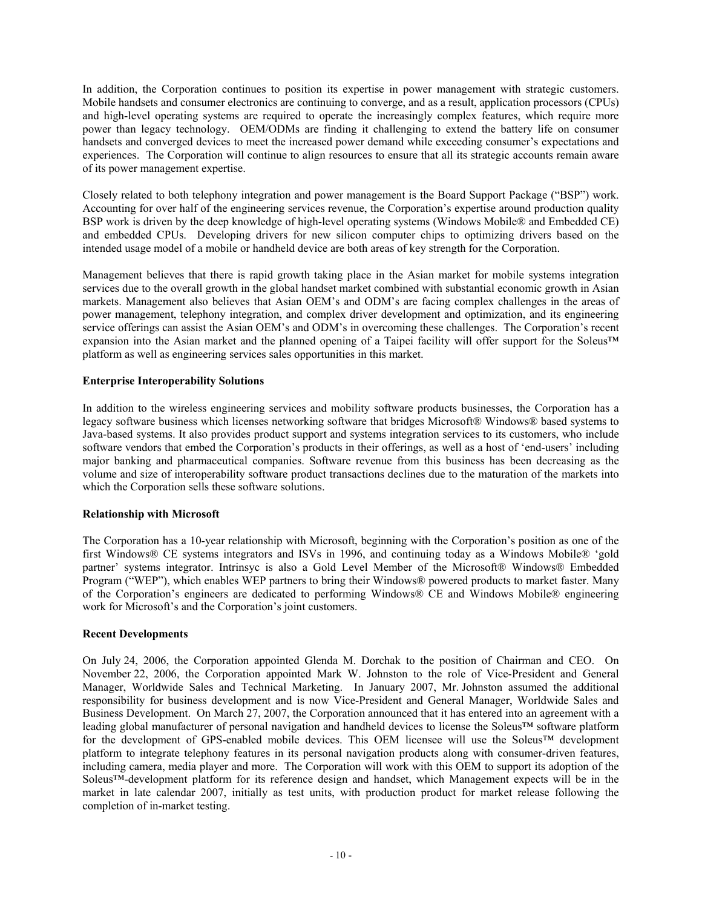In addition, the Corporation continues to position its expertise in power management with strategic customers. Mobile handsets and consumer electronics are continuing to converge, and as a result, application processors (CPUs) and high-level operating systems are required to operate the increasingly complex features, which require more power than legacy technology. OEM/ODMs are finding it challenging to extend the battery life on consumer handsets and converged devices to meet the increased power demand while exceeding consumer's expectations and experiences. The Corporation will continue to align resources to ensure that all its strategic accounts remain aware of its power management expertise.

Closely related to both telephony integration and power management is the Board Support Package ("BSP") work. Accounting for over half of the engineering services revenue, the Corporation's expertise around production quality BSP work is driven by the deep knowledge of high-level operating systems (Windows Mobile® and Embedded CE) and embedded CPUs. Developing drivers for new silicon computer chips to optimizing drivers based on the intended usage model of a mobile or handheld device are both areas of key strength for the Corporation.

Management believes that there is rapid growth taking place in the Asian market for mobile systems integration services due to the overall growth in the global handset market combined with substantial economic growth in Asian markets. Management also believes that Asian OEM's and ODM's are facing complex challenges in the areas of power management, telephony integration, and complex driver development and optimization, and its engineering service offerings can assist the Asian OEM's and ODM's in overcoming these challenges. The Corporation's recent expansion into the Asian market and the planned opening of a Taipei facility will offer support for the Soleus<sup>TM</sup> platform as well as engineering services sales opportunities in this market.

## **Enterprise Interoperability Solutions**

In addition to the wireless engineering services and mobility software products businesses, the Corporation has a legacy software business which licenses networking software that bridges Microsoft® Windows® based systems to Java-based systems. It also provides product support and systems integration services to its customers, who include software vendors that embed the Corporation's products in their offerings, as well as a host of 'end-users' including major banking and pharmaceutical companies. Software revenue from this business has been decreasing as the volume and size of interoperability software product transactions declines due to the maturation of the markets into which the Corporation sells these software solutions.

## **Relationship** with Microsoft

The Corporation has a 10-year relationship with Microsoft, beginning with the Corporation's position as one of the first Windows® CE systems integrators and ISVs in 1996, and continuing today as a Windows Mobile® 'gold partner' systems integrator. Intrinsyc is also a Gold Level Member of the Microsoft® Windows® Embedded Program ("WEP"), which enables WEP partners to bring their Windows® powered products to market faster. Many of the Corporation's engineers are dedicated to performing Windows® CE and Windows Mobile® engineering work for Microsoft's and the Corporation's joint customers.

## **Recent Developments**

On July 24, 2006, the Corporation appointed Glenda M. Dorchak to the position of Chairman and CEO. On November 22, 2006, the Corporation appointed Mark W. Johnston to the role of Vice-President and General Manager, Worldwide Sales and Technical Marketing. In January 2007, Mr. Johnston assumed the additional responsibility for business development and is now Vice-President and General Manager, Worldwide Sales and Business Development. On March 27, 2007, the Corporation announced that it has entered into an agreement with a leading global manufacturer of personal navigation and handheld devices to license the Soleus<sup>TM</sup> software platform for the development of GPS-enabled mobile devices. This OEM licensee will use the Soleus<sup>TM</sup> development platform to integrate telephony features in its personal navigation products along with consumer-driven features, including camera, media player and more. The Corporation will work with this OEM to support its adoption of the Soleus<sup>TM</sup>-development platform for its reference design and handset, which Management expects will be in the market in late calendar 2007, initially as test units, with production product for market release following the completion of in-market testing.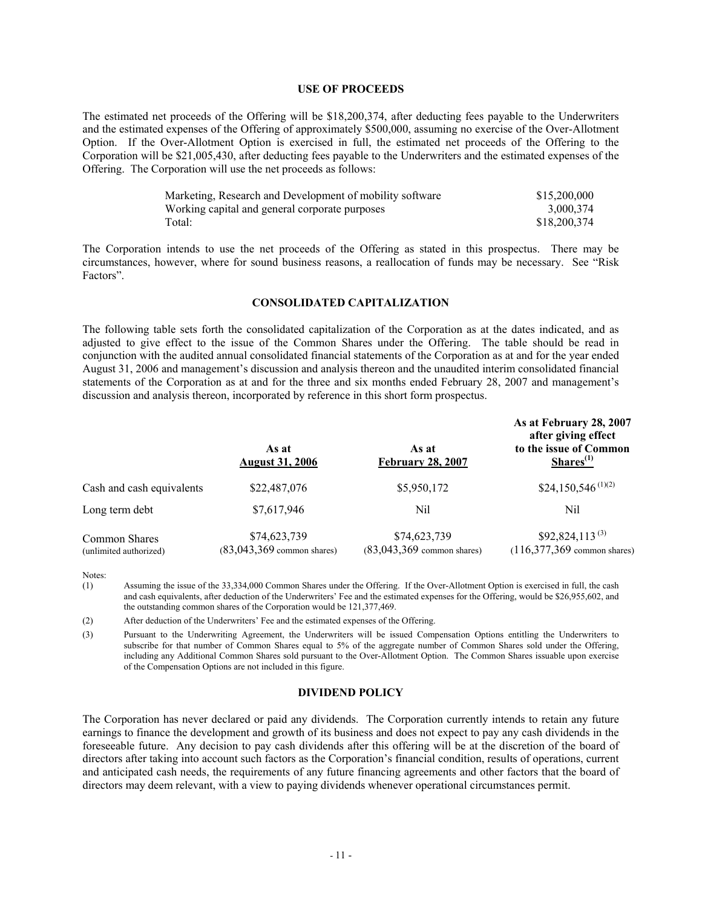#### **USE OF PROCEEDS**

The estimated net proceeds of the Offering will be \$18,200,374, after deducting fees payable to the Underwriters and the estimated expenses of the Offering of approximately \$500,000, assuming no exercise of the Over-Allotment Option. If the Over-Allotment Option is exercised in full, the estimated net proceeds of the Offering to the Corporation will be \$21,005,430, after deducting fees payable to the Underwriters and the estimated expenses of the Offering. The Corporation will use the net proceeds as follows:

| Marketing, Research and Development of mobility software | \$15,200,000 |
|----------------------------------------------------------|--------------|
| Working capital and general corporate purposes           | 3,000,374    |
| Total:                                                   | \$18,200,374 |

The Corporation intends to use the net proceeds of the Offering as stated in this prospectus. There may be circumstances, however, where for sound business reasons, a reallocation of funds may be necessary. See "Risk" Factors?.

#### *CONSOLIDATED CAPITALIZATION*

The following table sets forth the consolidated capitalieation of the Corporation as at the dates indicated, and as adjusted to give effect to the issue of the Common Shares under the Offering. The table should be read in conjunction with the audited annual consolidated financial statements of the Corporation as at and for the year ended August 31, 2006 and management's discussion and analysis thereon and the unaudited interim consolidated financial statements of the Corporation as at and for the three and six months ended February 28, 2007 and management's discussion and analysis thereon, incorporated by reference in this short form prospectus.

|                                         | As at<br><b>August 31, 2006</b>               | As at<br><b>February 28, 2007</b>             | As at February 28, 2007<br>after giving effect<br>to the issue of Common<br>Shares <sup>(1)</sup> |
|-----------------------------------------|-----------------------------------------------|-----------------------------------------------|---------------------------------------------------------------------------------------------------|
| Cash and cash equivalents               | \$22,487,076                                  | \$5,950,172                                   | \$24,150,546 <sup>(1)(2)</sup>                                                                    |
| Long term debt                          | \$7,617,946                                   | Nil                                           | Nil                                                                                               |
| Common Shares<br>(unlimited authorized) | \$74,623,739<br>$(83,043,369)$ common shares) | \$74,623,739<br>$(83,043,369)$ common shares) | $$92,824,113^{(3)}$<br>$(116,377,369)$ common shares)                                             |

Notes:

(1) Assuming the issue of the 33,334,000 Common Shares under the Offering. If the Over-Allotment Option is exercised in full, the cash and cash equivalents, after deduction of the Underwriters' Fee and the estimated expenses for the Offering, would be \$26,955,602, and the outstanding common shares of the Corporation would be 121,377,469.

(2) After deduction of the Underwriters' Fee and the estimated expenses of the Offering.

(3) Pursuant to the Underwriting Agreement, the Underwriters will be issued Compensation Options entitling the Underwriters to subscribe for that number of Common Shares equal to 5% of the aggregate number of Common Shares sold under the Offering, including any Additional Common Shares sold pursuant to the Over-Allotment Option. The Common Shares issuable upon exercise of the Compensation Options are not included in this figure.

#### **DIVIDEND POLICY**

The Corporation has never declared or paid any dividends. The Corporation currently intends to retain any future earnings to finance the development and growth of its business and does not expect to pay any cash dividends in the foreseeable future. Any decision to pay cash dividends after this offering will be at the discretion of the board of directors after taking into account such factors as the Corporation's financial condition, results of operations, current and anticipated cash needs, the requirements of any future financing agreements and other factors that the board of directors may deem relevant, with a view to paying dividends whenever operational circumstances permit.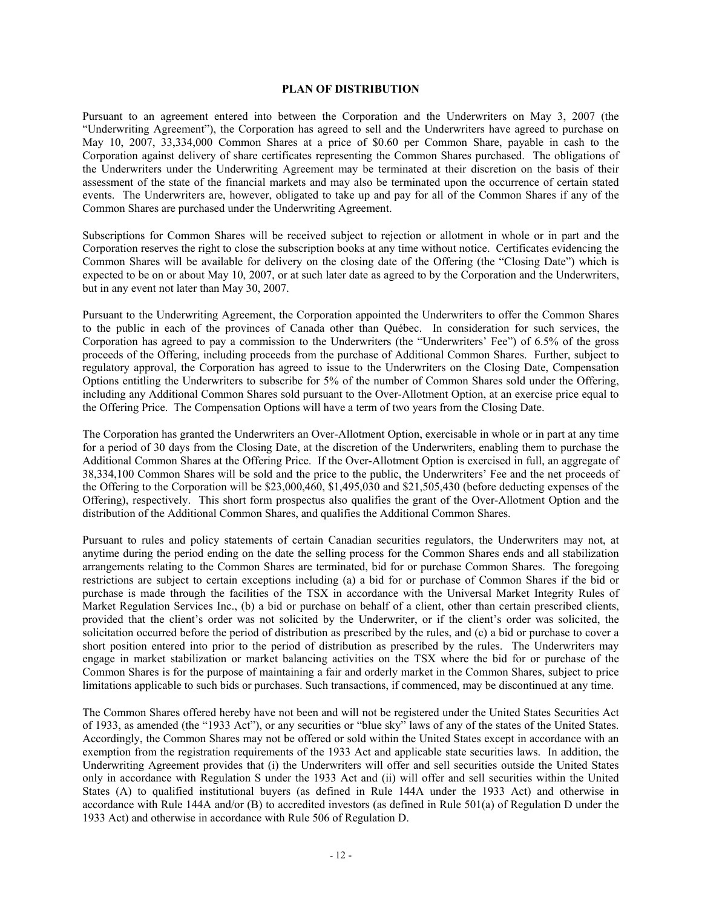## **PLAN OF DISTRIBUTION**

Pursuant to an agreement entered into between the Corporation and the Underwriters on May 3, 2007 (the <Underwriting Agreement?), the Corporation has agreed to sell and the Underwriters have agreed to purchase on May 10, 2007, 33,334,000 Common Shares at a price of \$0.60 per Common Share, payable in cash to the Corporation against delivery of share certificates representing the Common Shares purchased. The obligations of the Underwriters under the Underwriting Agreement may be terminated at their discretion on the basis of their assessment of the state of the financial markets and may also be terminated upon the occurrence of certain stated events. The Underwriters are, however, obligated to take up and pay for all of the Common Shares if any of the Common Shares are purchased under the Underwriting Agreement.

Subscriptions for Common Shares will be received subject to rejection or allotment in whole or in part and the Corporation reserves the right to close the subscription books at any time without notice. Certificates evidencing the Common Shares will be available for delivery on the closing date of the Offering (the "Closing Date") which is expected to be on or about May 10, 2007, or at such later date as agreed to by the Corporation and the Underwriters, but in any event not later than May 30, 2007.

Pursuant to the Underwriting Agreement, the Corporation appointed the Underwriters to offer the Common Shares to the public in each of the provinces of Canada other than Québec. In consideration for such services, the Corporation has agreed to pay a commission to the Underwriters (the "Underwriters' Fee") of 6.5% of the gross proceeds of the Offering, including proceeds from the purchase of Additional Common Shares. Further, subject to regulatory approval, the Corporation has agreed to issue to the Underwriters on the Closing Date, Compensation Options entitling the Underwriters to subscribe for 5% of the number of Common Shares sold under the Offering, including any Additional Common Shares sold pursuant to the Over-Allotment Option, at an exercise price equal to the Offering Price. The Compensation Options will have a term of two years from the Closing Date.

The Corporation has granted the Underwriters an Over-Allotment Option, exercisable in whole or in part at any time for a period of 30 days from the Closing Date, at the discretion of the Underwriters, enabling them to purchase the Additional Common Shares at the Offering Price. If the Over-Allotment Option is exercised in full, an aggregate of 38,334,100 Common Shares will be sold and the price to the public, the Underwriters' Fee and the net proceeds of the Offering to the Corporation will be  $$23,000,460, $1,495,030$  and  $$21,505,430$  (before deducting expenses of the Offering), respectively. This short form prospectus also qualifies the grant of the Over-Allotment Option and the distribution of the Additional Common Shares, and qualifies the Additional Common Shares.

Pursuant to rules and policy statements of certain Canadian securities regulators, the Underwriters may not, at anytime during the period ending on the date the selling process for the Common Shares ends and all stabilization arrangements relating to the Common Shares are terminated, bid for or purchase Common Shares. The foregoing restrictions are subject to certain exceptions including (a) a bid for or purchase of Common Shares if the bid or purchase is made through the facilities of the TSX in accordance with the Universal Market Integrity Rules of Market Regulation Services Inc., (b) a bid or purchase on behalf of a client, other than certain prescribed clients, provided that the client's order was not solicited by the Underwriter, or if the client's order was solicited, the solicitation occurred before the period of distribution as prescribed by the rules, and (c) a bid or purchase to cover a short position entered into prior to the period of distribution as prescribed by the rules. The Underwriters may engage in market stabilization or market balancing activities on the TSX where the bid for or purchase of the Common Shares is for the purpose of maintaining a fair and orderly market in the Common Shares, subject to price limitations applicable to such bids or purchases. Such transactions, if commenced, may be discontinued at any time.

The Common Shares offered hereby have not been and will not be registered under the United States Securities Act of 1933, as amended (the "1933 Act"), or any securities or "blue sky" laws of any of the states of the United States. Accordingly, the Common Shares may not be offered or sold within the United States except in accordance with an exemption from the registration requirements of the 1933 Act and applicable state securities laws. In addition, the Underwriting Agreement provides that (i) the Underwriters will offer and sell securities outside the United States only in accordance with Regulation S under the 1933 Act and (ii) will offer and sell securities within the United States (A) to qualified institutional buyers (as defined in Rule 144A under the 1933 Act) and otherwise in accordance with Rule 144A and/or  $(B)$  to accredited investors (as defined in Rule 501(a) of Regulation D under the 1933 Act) and otherwise in accordance with Rule 506 of Regulation D.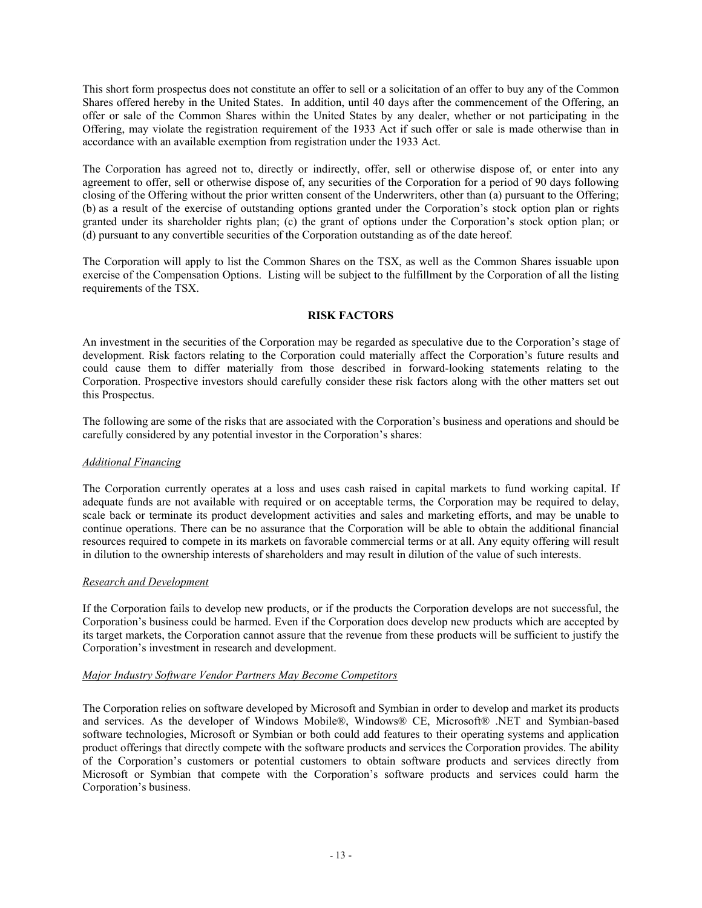This short form prospectus does not constitute an offer to sell or a solicitation of an offer to buy any of the Common Shares offered hereby in the United States. In addition, until 40 days after the commencement of the Offering, an offer or sale of the Common Shares within the United States by any dealer, whether or not participating in the Offering, may violate the registration requirement of the 1933 Act if such offer or sale is made otherwise than in accordance with an available exemption from registration under the 1933 Act.

The Corporation has agreed not to, directly or indirectly, offer, sell or otherwise dispose of, or enter into any agreement to offer, sell or otherwise dispose of, any securities of the Corporation for a period of 90 days following closing of the Offering without the prior written consent of the Underwriters, other than (a) pursuant to the Offering;  $(b)$  as a result of the exercise of outstanding options granted under the Corporation's stock option plan or rights granted under its shareholder rights plan; (c) the grant of options under the Corporation's stock option plan; or (d) pursuant to any convertible securities of the Corporation outstanding as of the date hereof.

The Corporation will apply to list the Common Shares on the TSW, as well as the Common Shares issuable upon exercise of the Compensation Options. Listing will be subject to the fulfillment by the Corporation of all the listing requirements of the TSW.

## **RISK FACTORS**

An investment in the securities of the Corporation may be regarded as speculative due to the Corporation's stage of development. Risk factors relating to the Corporation could materially affect the Corporation's future results and could cause them to differ materially from those described in forward-looking statements relating to the Corporation. Prospective investors should carefully consider these risk factors along with the other matters set out this Prospectus.

The following are some of the risks that are associated with the Corporation's business and operations and should be carefully considered by any potential investor in the Corporation's shares:

## *Additional Financing*

The Corporation currently operates at a loss and uses cash raised in capital markets to fund working capital. If adequate funds are not available with required or on acceptable terms, the Corporation may be required to delay, scale back or terminate its product development activities and sales and marketing efforts, and may be unable to continue operations. There can be no assurance that the Corporation will be able to obtain the additional financial resources required to compete in its markets on favorable commercial terms or at all. Any equity offering will result in dilution to the ownership interests of shareholders and may result in dilution of the value of such interests.

## *Research and Development*

If the Corporation fails to develop new products, or if the products the Corporation develops are not successful, the Corporation's business could be harmed. Even if the Corporation does develop new products which are accepted by its target markets, the Corporation cannot assure that the revenue from these products will be sufficient to justify the Corporation's investment in research and development.

## *Major Industry Software Vendor Partners May Become Competitors*

The Corporation relies on software developed by Microsoft and Symbian in order to develop and market its products and services. As the developer of Windows Mobile®, Windows® CE, Microsoft® .NET and Symbian-based software technologies, Microsoft or Symbian or both could add features to their operating systems and application product offerings that directly compete with the software products and services the Corporation provides. The ability of the Corporation's customers or potential customers to obtain software products and services directly from Microsoft or Symbian that compete with the Corporation's software products and services could harm the Corporation's business.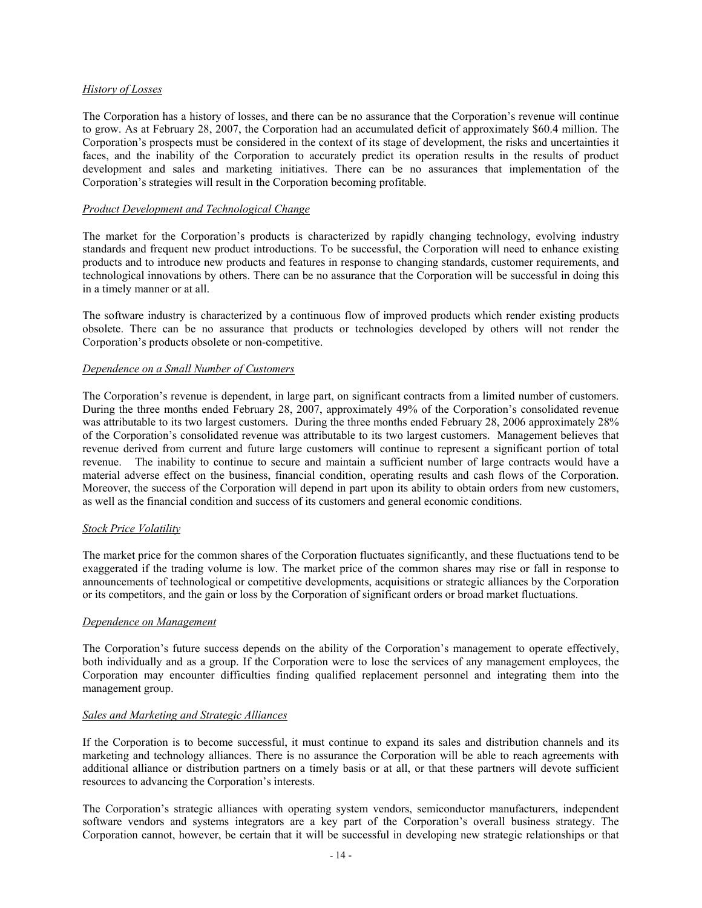## *History of Losses*

The Corporation has a history of losses, and there can be no assurance that the Corporation's revenue will continue to grow. As at February 28, 2007, the Corporation had an accumulated deficit of approximately \$60.4 million. The Corporation's prospects must be considered in the context of its stage of development, the risks and uncertainties it faces, and the inability of the Corporation to accurately predict its operation results in the results of product development and sales and marketing initiatives. There can be no assurances that implementation of the Corporation's strategies will result in the Corporation becoming profitable.

## *Product Development and Technological Change*

The market for the Corporation's products is characterized by rapidly changing technology, evolving industry standards and frequent new product introductions. To be successful, the Corporation will need to enhance existing products and to introduce new products and features in response to changing standards, customer requirements, and technological innovations by others. There can be no assurance that the Corporation will be successful in doing this in a timely manner or at all.

The software industry is characterized by a continuous flow of improved products which render existing products obsolete. There can be no assurance that products or technologies developed by others will not render the Corporation's products obsolete or non-competitive.

## *Dependence on a Small Number of Customers*

The Corporation's revenue is dependent, in large part, on significant contracts from a limited number of customers. During the three months ended February 28, 2007, approximately 49% of the Corporation's consolidated revenue was attributable to its two largest customers. During the three months ended February 28, 2006 approximately 28% of the Corporation's consolidated revenue was attributable to its two largest customers. Management believes that revenue derived from current and future large customers will continue to represent a significant portion of total revenue. The inability to continue to secure and maintain a sufficient number of large contracts would have a material adverse effect on the business, financial condition, operating results and cash flows of the Corporation. Moreover, the success of the Corporation will depend in part upon its ability to obtain orders from new customers, as well as the financial condition and success of its customers and general economic conditions.

#### *Stoc] Price Folatility*

The market price for the common shares of the Corporation fluctuates significantly, and these fluctuations tend to be exaggerated if the trading volume is low. The market price of the common shares may rise or fall in response to announcements of technological or competitive developments, acquisitions or strategic alliances by the Corporation or its competitors, and the gain or loss by the Corporation of significant orders or broad market fluctuations.

#### *Dependence on Management*

The Corporation's future success depends on the ability of the Corporation's management to operate effectively, both individually and as a group. If the Corporation were to lose the services of any management employees, the Corporation may encounter difficulties finding qualified replacement personnel and integrating them into the management group.

## *Sales and Mar]eting and Strategic Alliances*

If the Corporation is to become successful, it must continue to expand its sales and distribution channels and its marketing and technology alliances. There is no assurance the Corporation will be able to reach agreements with additional alliance or distribution partners on a timely basis or at all, or that these partners will devote sufficient resources to advancing the Corporation's interests.

The Corporation's strategic alliances with operating system vendors, semiconductor manufacturers, independent software vendors and systems integrators are a key part of the Corporation's overall business strategy. The Corporation cannot, however, be certain that it will be successful in developing new strategic relationships or that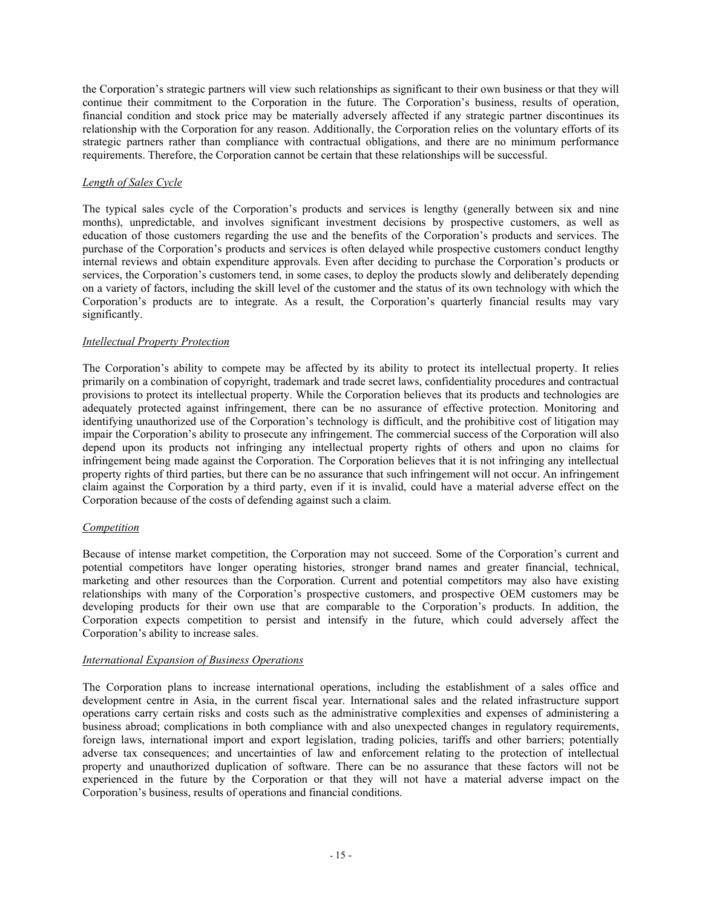the Corporation's strategic partners will view such relationships as significant to their own business or that they will continue their commitment to the Corporation in the future. The Corporation's business, results of operation, financial condition and stock price may be materially adversely affected if any strategic partner discontinues its relationship with the Corporation for any reason. Additionally, the Corporation relies on the voluntary efforts of its strategic partners rather than compliance with contractual obligations, and there are no minimum performance requirements. Therefore, the Corporation cannot be certain that these relationships will be successful.

## *Length of Sales Cycle*

The typical sales cycle of the Corporation's products and services is lengthy (generally between six and nine months), unpredictable, and involves significant investment decisions by prospective customers, as well as education of those customers regarding the use and the benefits of the Corporation's products and services. The purchase of the Corporation's products and services is often delayed while prospective customers conduct lengthy internal reviews and obtain expenditure approvals. Even after deciding to purchase the Corporation's products or services, the Corporation's customers tend, in some cases, to deploy the products slowly and deliberately depending on a variety of factors, including the skill level of the customer and the status of its own technology with which the Corporation's products are to integrate. As a result, the Corporation's quarterly financial results may vary significantly.

## *Intellectual Property Protection*

The Corporation's ability to compete may be affected by its ability to protect its intellectual property. It relies primarily on a combination of copyright, trademark and trade secret laws, confidentiality procedures and contractual provisions to protect its intellectual property. While the Corporation believes that its products and technologies are adequately protected against infringement, there can be no assurance of effective protection. Monitoring and identifying unauthorized use of the Corporation's technology is difficult, and the prohibitive cost of litigation may impair the Corporation's ability to prosecute any infringement. The commercial success of the Corporation will also depend upon its products not infringing any intellectual property rights of others and upon no claims for infringement being made against the Corporation. The Corporation believes that it is not infringing any intellectual property rights of third parties, but there can be no assurance that such infringement will not occur. An infringement claim against the Corporation by a third party, even if it is invalid, could have a material adverse effect on the Corporation because of the costs of defending against such a claim.

## *Competition*

Because of intense market competition, the Corporation may not succeed. Some of the Corporation's current and potential competitors have longer operating histories, stronger brand names and greater financial, technical, marketing and other resources than the Corporation. Current and potential competitors may also have existing relationships with many of the Corporation's prospective customers, and prospective OEM customers may be developing products for their own use that are comparable to the Corporation's products. In addition, the Corporation expects competition to persist and intensify in the future, which could adversely affect the Corporation's ability to increase sales.

## *International Expansion of Business Operations*

The Corporation plans to increase international operations, including the establishment of a sales office and development centre in Asia, in the current fiscal year. International sales and the related infrastructure support operations carry certain risks and costs such as the administrative complexities and expenses of administering a business abroad; complications in both compliance with and also unexpected changes in regulatory requirements, foreign laws, international import and export legislation, trading policies, tariffs and other barriers; potentially adverse tax consequences; and uncertainties of law and enforcement relating to the protection of intellectual property and unauthorized duplication of software. There can be no assurance that these factors will not be experienced in the future by the Corporation or that they will not have a material adverse impact on the Corporation's business, results of operations and financial conditions.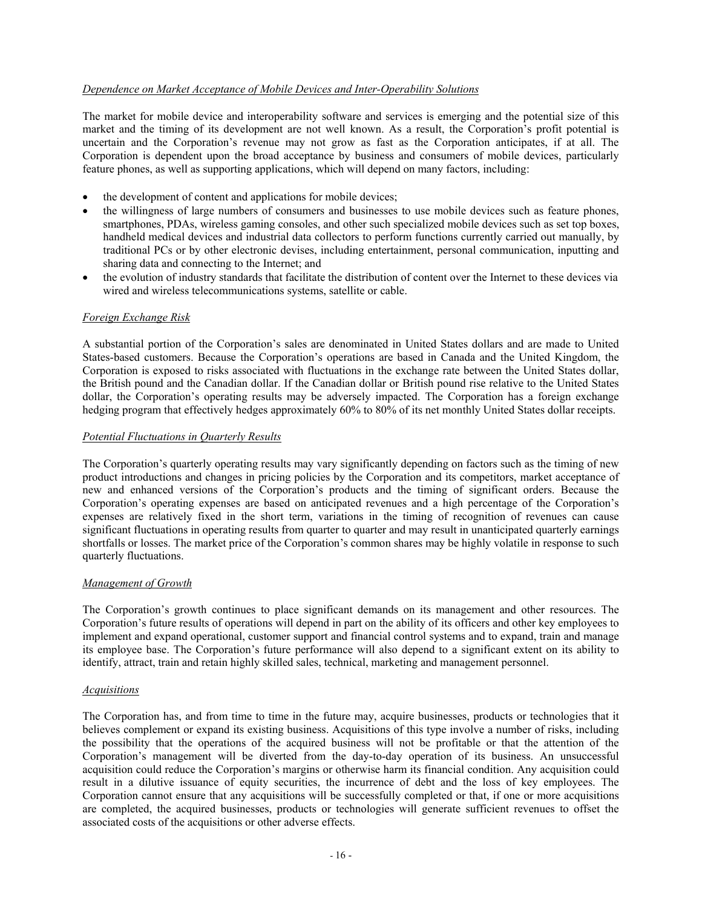## *Dependence on Mar]et Acceptance of Mobile Devices and Inter-Operability Solutions*

The market for mobile device and interoperability software and services is emerging and the potential size of this market and the timing of its development are not well known. As a result, the Corporation's profit potential is uncertain and the Corporation's revenue may not grow as fast as the Corporation anticipates, if at all. The Corporation is dependent upon the broad acceptance by business and consumers of mobile devices, particularly feature phones, as well as supporting applications, which will depend on many factors, including:

- the development of content and applications for mobile devices;
- ! the willingness of large numbers of consumers and businesses to use mobile devices such as feature phones, smartphones, PDAs, wireless gaming consoles, and other such specialized mobile devices such as set top boxes, handheld medical devices and industrial data collectors to perform functions currently carried out manually, by traditional PCs or by other electronic devises, including entertainment, personal communication, inputting and sharing data and connecting to the Internet; and
- the evolution of industry standards that facilitate the distribution of content over the Internet to these devices via wired and wireless telecommunications systems, satellite or cable.

## *Foreign Exchange Risk*

A substantial portion of the Corporation's sales are denominated in United States dollars and are made to United States-based customers. Because the Corporation's operations are based in Canada and the United Kingdom, the Corporation is exposed to risks associated with fluctuations in the exchange rate between the United States dollar, the fritish pound and the Canadian dollar. If the Canadian dollar or fritish pound rise relative to the United States dollar, the Corporation's operating results may be adversely impacted. The Corporation has a foreign exchange hedging program that effectively hedges approximately 60% to 80% of its net monthly United States dollar receipts.

## *Potential Fluctuations in `uarterly Results*

The Corporation's quarterly operating results may vary significantly depending on factors such as the timing of new product introductions and changes in pricing policies by the Corporation and its competitors, market acceptance of new and enhanced versions of the Corporation's products and the timing of significant orders. Because the Corporation's operating expenses are based on anticipated revenues and a high percentage of the Corporation's expenses are relatively fixed in the short term, variations in the timing of recognition of revenues can cause significant fluctuations in operating results from quarter to quarter and may result in unanticipated quarterly earnings shortfalls or losses. The market price of the Corporation's common shares may be highly volatile in response to such quarterly fluctuations.

## *Management of Jrowth*

The Corporation's growth continues to place significant demands on its management and other resources. The Corporation's future results of operations will depend in part on the ability of its officers and other key employees to implement and expand operational, customer support and financial control systems and to expand, train and manage its employee base. The Corporation's future performance will also depend to a significant extent on its ability to identify, attract, train and retain highly skilled sales, technical, marketing and management personnel.

#### *Acquisitions*

The Corporation has, and from time to time in the future may, acquire businesses, products or technologies that it believes complement or expand its existing business. Acquisitions of this type involve a number of risks, including the possibility that the operations of the acquired business will not be profitable or that the attention of the Corporation's management will be diverted from the day-to-day operation of its business. An unsuccessful acquisition could reduce the Corporation's margins or otherwise harm its financial condition. Any acquisition could result in a dilutive issuance of equity securities, the incurrence of debt and the loss of key employees. The Corporation cannot ensure that any acquisitions will be successfully completed or that, if one or more acquisitions are completed, the acquired businesses, products or technologies will generate sufficient revenues to offset the associated costs of the acquisitions or other adverse effects.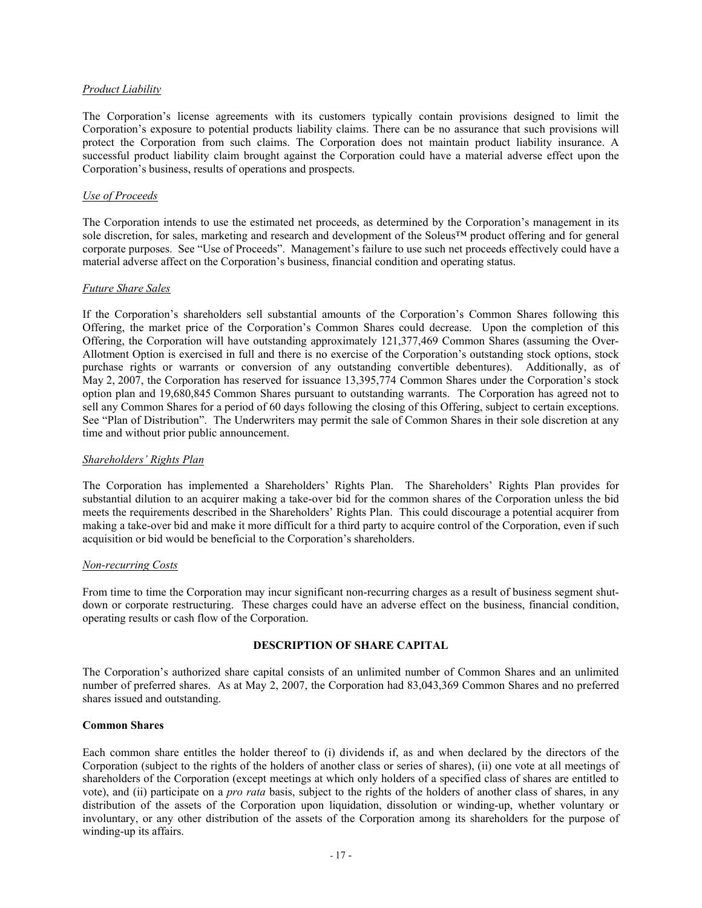## *Product Liability*

The Corporation's license agreements with its customers typically contain provisions designed to limit the Corporation's exposure to potential products liability claims. There can be no assurance that such provisions will protect the Corporation from such claims. The Corporation does not maintain product liability insurance. A successful product liability claim brought against the Corporation could have a material adverse effect upon the Corporation's business, results of operations and prospects.

## *Use of Proceeds*

The Corporation intends to use the estimated net proceeds, as determined by the Corporation's management in its sole discretion, for sales, marketing and research and development of the Soleus<sup>TM</sup> product offering and for general corporate purposes. See "Use of Proceeds". Management's failure to use such net proceeds effectively could have a material adverse affect on the Corporation's business, financial condition and operating status.

## *Future Share Sales*

If the Corporation's shareholders sell substantial amounts of the Corporation's Common Shares following this Offering, the market price of the Corporation's Common Shares could decrease. Upon the completion of this Offering, the Corporation will have outstanding approximately 121,377,469 Common Shares (assuming the Over-Allotment Option is exercised in full and there is no exercise of the Corporation's outstanding stock options, stock purchase rights or warrants or conversion of any outstanding convertible debentures). Additionally, as of May 2, 2007, the Corporation has reserved for issuance 13,395,774 Common Shares under the Corporation's stock option plan and 19,680,845 Common Shares pursuant to outstanding warrants. The Corporation has agreed not to sell any Common Shares for a period of 60 days following the closing of this Offering, subject to certain exceptions. See "Plan of Distribution". The Underwriters may permit the sale of Common Shares in their sole discretion at any time and without prior public announcement.

#### *Shareholders' Rights Plan*

The Corporation has implemented a Shareholders' Rights Plan. The Shareholders' Rights Plan provides for substantial dilution to an acquirer making a take-over bid for the common shares of the Corporation unless the bid meets the requirements described in the Shareholders' Rights Plan. This could discourage a potential acquirer from making a take-over bid and make it more difficult for a third party to acquire control of the Corporation, even if such acquisition or bid would be beneficial to the Corporation's shareholders.

#### *Non-recurring Costs*

From time to time the Corporation may incur significant non-recurring charges as a result of business segment shutdown or corporate restructuring. These charges could have an adverse effect on the business, financial condition, operating results or cash flow of the Corporation.

## **DESCRIPTION OF SHARE CAPITAL**

The Corporation's authorized share capital consists of an unlimited number of Common Shares and an unlimited number of preferred shares. As at May 2, 2007, the Corporation had 83,043,369 Common Shares and no preferred shares issued and outstanding.

### **Common Shares**

Each common share entitles the holder thereof to (i) dividends if, as and when declared by the directors of the Corporation (subject to the rights of the holders of another class or series of shares), (ii) one vote at all meetings of shareholders of the Corporation (except meetings at which only holders of a specified class of shares are entitled to vote), and (ii) participate on a *pro rata* basis, subject to the rights of the holders of another class of shares, in any distribution of the assets of the Corporation upon liquidation, dissolution or winding-up, whether voluntary or involuntary, or any other distribution of the assets of the Corporation among its shareholders for the purpose of winding-up its affairs.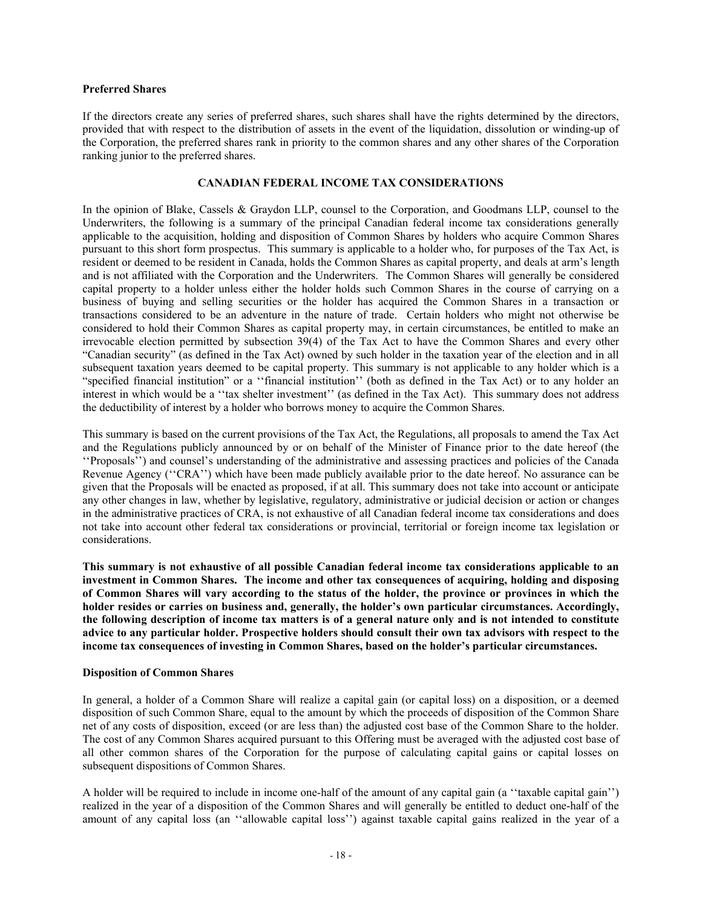## **Preferred Shares**

If the directors create any series of preferred shares, such shares shall have the rights determined by the directors, provided that with respect to the distribution of assets in the event of the liquidation, dissolution or winding-up of the Corporation, the preferred shares rank in priority to the common shares and any other shares of the Corporation ranking junior to the preferred shares.

## **EXAMPLE TAX CONSIDERATIONS**

In the opinion of Blake, Cassels & Graydon LLP, counsel to the Corporation, and Goodmans LLP, counsel to the Underwriters, the following is a summary of the principal Canadian federal income tax considerations generally applicable to the acquisition, holding and disposition of Common Shares by holders who acquire Common Shares pursuant to this short form prospectus. This summary is applicable to a holder who, for purposes of the Tax Act, is resident or deemed to be resident in Canada, holds the Common Shares as capital property, and deals at arm's length and is not affiliated with the Corporation and the Underwriters. The Common Shares will generally be considered capital property to a holder unless either the holder holds such Common Shares in the course of carrying on a business of buying and selling securities or the holder has acquired the Common Shares in a transaction or transactions considered to be an adventure in the nature of trade. Certain holders who might not otherwise be considered to hold their Common Shares as capital property may, in certain circumstances, be entitled to make an irrevocable election permitted by subsection 39(4) of the Tax Act to have the Common Shares and every other "Canadian security" (as defined in the Tax Act) owned by such holder in the taxation year of the election and in all subsequent taxation years deemed to be capital property. This summary is not applicable to any holder which is a "specified financial institution" or a "financial institution" (both as defined in the Tax Act) or to any holder an interest in which would be a "tax shelter investment" (as defined in the Tax Act). This summary does not address the deductibility of interest by a holder who borrows money to acquire the Common Shares.

This summary is based on the current provisions of the Tax Act, the Regulations, all proposals to amend the Tax Act and the Regulations publicly announced by or on behalf of the Minister of Finance prior to the date hereof (the "Proposals") and counsel's understanding of the administrative and assessing practices and policies of the Canada Revenue Agency ("CRA") which have been made publicly available prior to the date hereof. No assurance can be given that the Proposals will be enacted as proposed, if at all. This summary does not take into account or anticipate any other changes in law, whether by legislative, regulatory, administrative or judicial decision or action or changes in the administrative practices of CRA, is not exhaustive of all Canadian federal income tax considerations and does not take into account other federal tax considerations or provincial, territorial or foreign income tax legislation or considerations.

**h** This summary is not exhaustive of all possible Canadian federal income tax considerations applicable to an investment in Common Shares. The income and other tax consequences of acquiring, holding and disposing of Common Shares will vary according to the status of the holder, the province or provinces in which the holder resides or carries on business and, generally, the holder's own particular circumstances. Accordingly, **the following description of income tax matters is of a general nature only and is not intended to constitute advice to any particular holder. Prospective holders should consult their own tax advisors with respect to the income tax consequences of investing in Common Shares, based on the holder's particular circumstances.** 

#### **Disposition of Common Shares**

In general, a holder of a Common Share will realize a capital gain (or capital loss) on a disposition, or a deemed disposition of such Common Share, equal to the amount by which the proceeds of disposition of the Common Share net of any costs of disposition, exceed (or are less than) the adjusted cost base of the Common Share to the holder. The cost of any Common Shares acquired pursuant to this Offering must be averaged with the adjusted cost base of all other common shares of the Corporation for the purpose of calculating capital gains or capital losses on subsequent dispositions of Common Shares.

A holder will be required to include in income one-half of the amount of any capital gain  $(a \text{ 'taxable capital gain'})$ realieed in the year of a disposition of the Common Shares and will generally be entitled to deduct one-half of the amount of any capital loss (an "allowable capital loss") against taxable capital gains realized in the year of a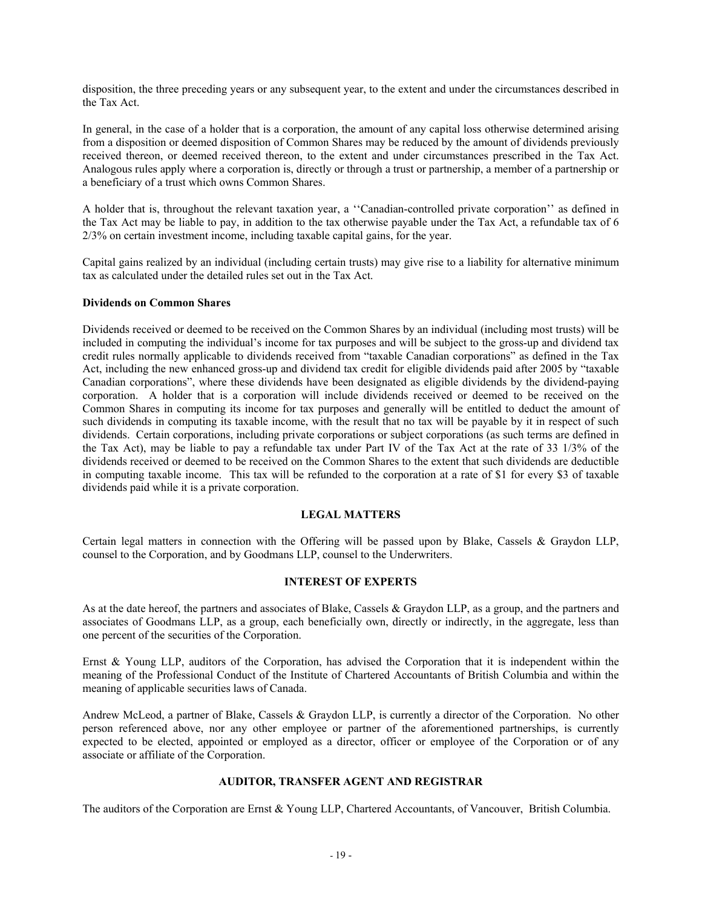disposition, the three preceding years or any subsequent year, to the extent and under the circumstances described in the Tax Act.

In general, in the case of a holder that is a corporation, the amount of any capital loss otherwise determined arising from a disposition or deemed disposition of Common Shares may be reduced by the amount of dividends previously received thereon, or deemed received thereon, to the extent and under circumstances prescribed in the Tax Act. Analogous rules apply where a corporation is, directly or through a trust or partnership, a member of a partnership or a beneficiary of a trust which owns Common Shares.

A holder that is, throughout the relevant taxation year, a "Canadian-controlled private corporation" as defined in the Tax Act may be liable to pay, in addition to the tax otherwise payable under the Tax Act, a refundable tax of  $6$  $2/3\%$  on certain investment income, including taxable capital gains, for the year.

Capital gains realieed by an individual (including certain trusts) may give rise to a liability for alternative minimum tax as calculated under the detailed rules set out in the Tax Act.

## **Dividends on Common Shares**

Dividends received or deemed to be received on the Common Shares by an individual (including most trusts) will be included in computing the individual's income for tax purposes and will be subject to the gross-up and dividend tax credit rules normally applicable to dividends received from "taxable Canadian corporations" as defined in the Tax Act, including the new enhanced gross-up and dividend tax credit for eligible dividends paid after 2005 by "taxable" Canadian corporations?, where these dividends have been designated as eligible dividends by the dividend-paying corporation. A holder that is a corporation will include dividends received or deemed to be received on the Common Shares in computing its income for tax purposes and generally will be entitled to deduct the amount of such dividends in computing its taxable income, with the result that no tax will be payable by it in respect of such dividends. Certain corporations, including private corporations or subject corporations (as such terms are defined in the Tax Act), may be liable to pay a refundable tax under Part IV of the Tax Act at the rate of 33  $1/3\%$  of the dividends received or deemed to be received on the Common Shares to the extent that such dividends are deductible in computing taxable income. This tax will be refunded to the corporation at a rate of \$1 for every \$3 of taxable dividends paid while it is a private corporation.

#### *2***ECAL MATTERS**

Certain legal matters in connection with the Offering will be passed upon by Blake, Cassels & Graydon LLP, counsel to the Corporation, and by Goodmans LLP, counsel to the Underwriters.

## **INTEREST OF EXPERTS**

As at the date hereof, the partners and associates of Blake, Cassels & Graydon LLP, as a group, and the partners and associates of Goodmans LLP, as a group, each beneficially own, directly or indirectly, in the aggregate, less than one percent of the securities of the Corporation.

Ernst  $\&$  Young LLP, auditors of the Corporation, has advised the Corporation that it is independent within the meaning of the Professional Conduct of the Institute of Chartered Accountants of fritish Columbia and within the meaning of applicable securities laws of Canada.

Andrew McLeod, a partner of Blake, Cassels & Graydon LLP, is currently a director of the Corporation. No other person referenced above, nor any other employee or partner of the aforementioned partnerships, is currently expected to be elected, appointed or employed as a director, officer or employee of the Corporation or of any associate or affiliate of the Corporation.

## **1, AUDITOR, TRANSFER AGENT AND REGISTRAR**

The auditors of the Corporation are Ernst  $& Young LLP$ , Chartered Accountants, of Vancouver, British Columbia.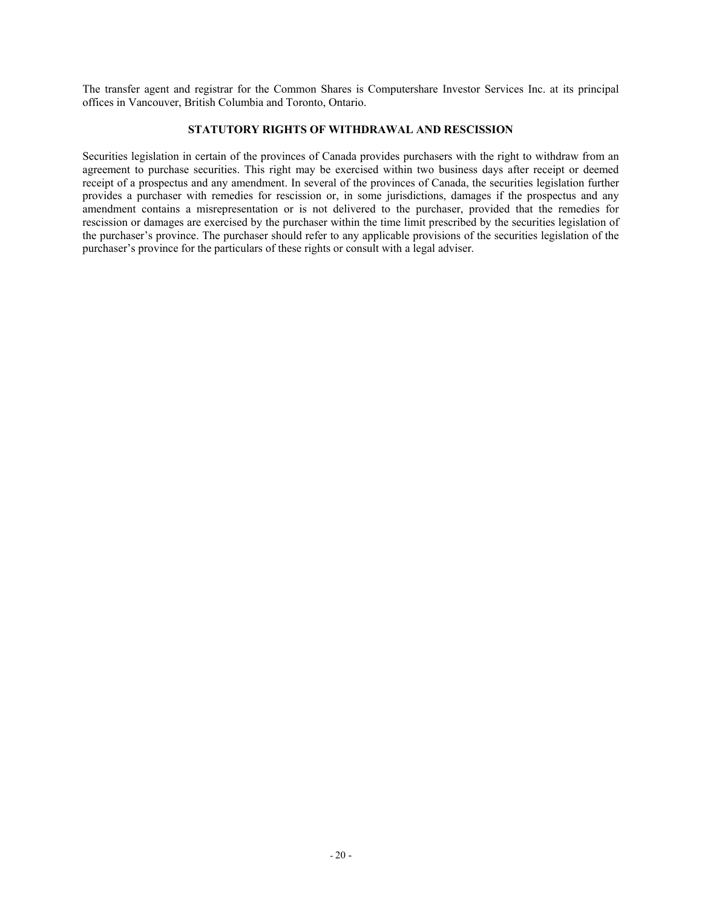The transfer agent and registrar for the Common Shares is Computershare Investor Services Inc. at its principal offices in Vancouver, British Columbia and Toronto, Ontario.

## **STATUTORY RIGHTS OF WITHDRAWAL AND RESCISSION**

Securities legislation in certain of the provinces of Canada provides purchasers with the right to withdraw from an agreement to purchase securities. This right may be exercised within two business days after receipt or deemed receipt of a prospectus and any amendment. In several of the provinces of Canada, the securities legislation further provides a purchaser with remedies for rescission or, in some jurisdictions, damages if the prospectus and any amendment contains a misrepresentation or is not delivered to the purchaser, provided that the remedies for rescission or damages are exercised by the purchaser within the time limit prescribed by the securities legislation of the purchaser's province. The purchaser should refer to any applicable provisions of the securities legislation of the purchaser's province for the particulars of these rights or consult with a legal adviser.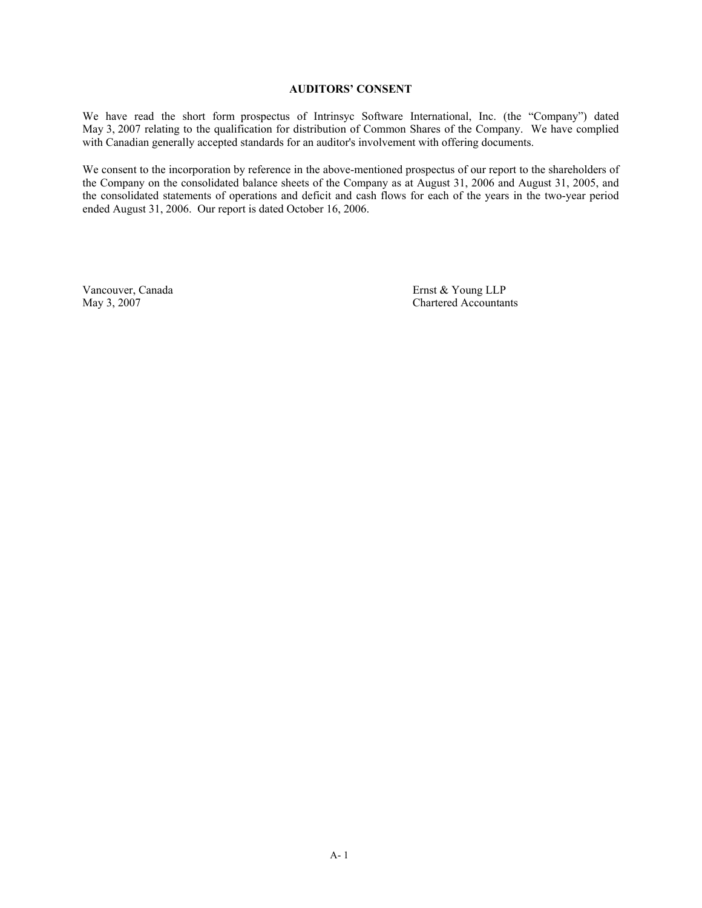## **1, AUDITORS' CONSENT**

We have read the short form prospectus of Intrinsyc Software International, Inc. (the "Company") dated May 3, 2007 relating to the qualification for distribution of Common Shares of the Company. We have complied with Canadian generally accepted standards for an auditor's involvement with offering documents.

We consent to the incorporation by reference in the above-mentioned prospectus of our report to the shareholders of the Company on the consolidated balance sheets of the Company as at August 31, 2006 and August 31, 2005, and the consolidated statements of operations and deficit and cash flows for each of the years in the two-year period ended August 31, 2006. Our report is dated October 16, 2006.

Vancouver, Canada Ernst & Young LLP<br>
May 3, 2007<br>
Chartered Accountar Chartered Accountants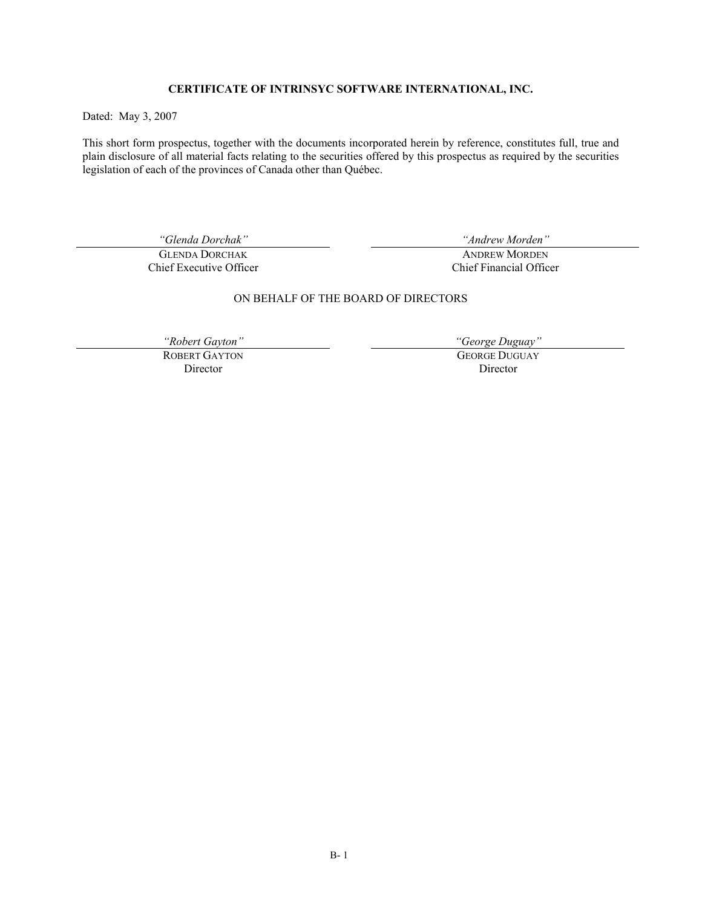## **+ CERTIFICATE OF INTRINSYC SOFTWARE INTERNATIONAL, INC.**

Dated: May 3, 2007

This short form prospectus, together with the documents incorporated herein by reference, constitutes full, true and plain disclosure of all material facts relating to the securities offered by this prospectus as required by the securities legislation of each of the provinces of Canada other than Québec.

**GLENDA DORCHAK** Chief Executive Officer

*Clenda Dorchak*" **Comparison** *Clenda Dorchak*  $\alpha$ <sup>"</sup> *Andrew Morden*"

**ANDREW MORDEN** Chief Financial Officer

## ON fEHALF OF THE fOARD OF DIRECTORS

ROBERT GAYTON Director

"Robert Gayton" George Duguay"

**GEORGE DUGUAY** Director